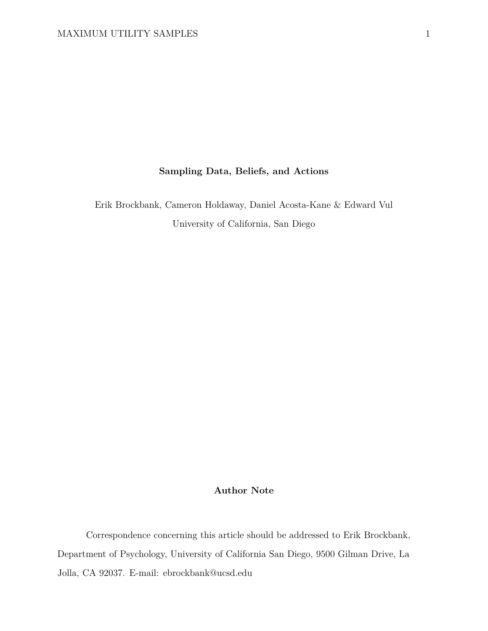# **Sampling Data, Beliefs, and Actions**

Erik Brockbank, Cameron Holdaway, Daniel Acosta-Kane & Edward Vul University of California, San Diego

# **Author Note**

Correspondence concerning this article should be addressed to Erik Brockbank, Department of Psychology, University of California San Diego, 9500 Gilman Drive, La Jolla, CA 92037. E-mail: ebrockbank@ucsd.edu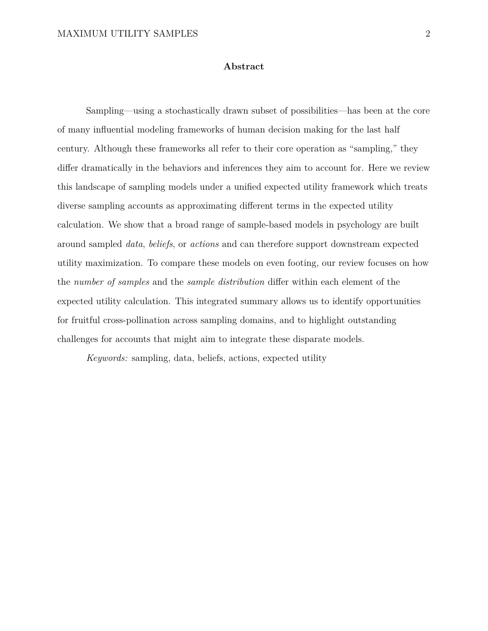### **Abstract**

Sampling—using a stochastically drawn subset of possibilities—has been at the core of many influential modeling frameworks of human decision making for the last half century. Although these frameworks all refer to their core operation as "sampling," they differ dramatically in the behaviors and inferences they aim to account for. Here we review this landscape of sampling models under a unified expected utility framework which treats diverse sampling accounts as approximating different terms in the expected utility calculation. We show that a broad range of sample-based models in psychology are built around sampled *data*, *beliefs*, or *actions* and can therefore support downstream expected utility maximization. To compare these models on even footing, our review focuses on how the *number of samples* and the *sample distribution* differ within each element of the expected utility calculation. This integrated summary allows us to identify opportunities for fruitful cross-pollination across sampling domains, and to highlight outstanding challenges for accounts that might aim to integrate these disparate models.

*Keywords:* sampling, data, beliefs, actions, expected utility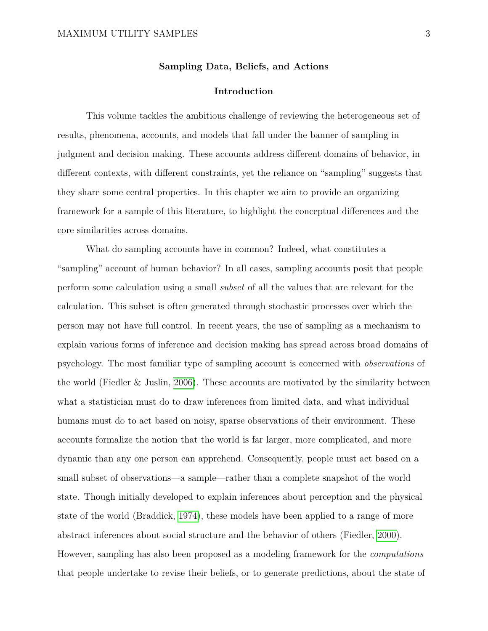### **Sampling Data, Beliefs, and Actions**

### **Introduction**

This volume tackles the ambitious challenge of reviewing the heterogeneous set of results, phenomena, accounts, and models that fall under the banner of sampling in judgment and decision making. These accounts address different domains of behavior, in different contexts, with different constraints, yet the reliance on "sampling" suggests that they share some central properties. In this chapter we aim to provide an organizing framework for a sample of this literature, to highlight the conceptual differences and the core similarities across domains.

What do sampling accounts have in common? Indeed, what constitutes a "sampling" account of human behavior? In all cases, sampling accounts posit that people perform some calculation using a small *subset* of all the values that are relevant for the calculation. This subset is often generated through stochastic processes over which the person may not have full control. In recent years, the use of sampling as a mechanism to explain various forms of inference and decision making has spread across broad domains of psychology. The most familiar type of sampling account is concerned with *observations* of the world (Fiedler & Juslin, [2006\)](#page-40-0). These accounts are motivated by the similarity between what a statistician must do to draw inferences from limited data, and what individual humans must do to act based on noisy, sparse observations of their environment. These accounts formalize the notion that the world is far larger, more complicated, and more dynamic than any one person can apprehend. Consequently, people must act based on a small subset of observations—a sample—rather than a complete snapshot of the world state. Though initially developed to explain inferences about perception and the physical state of the world (Braddick, [1974\)](#page-38-0), these models have been applied to a range of more abstract inferences about social structure and the behavior of others (Fiedler, [2000\)](#page-40-1). However, sampling has also been proposed as a modeling framework for the *computations* that people undertake to revise their beliefs, or to generate predictions, about the state of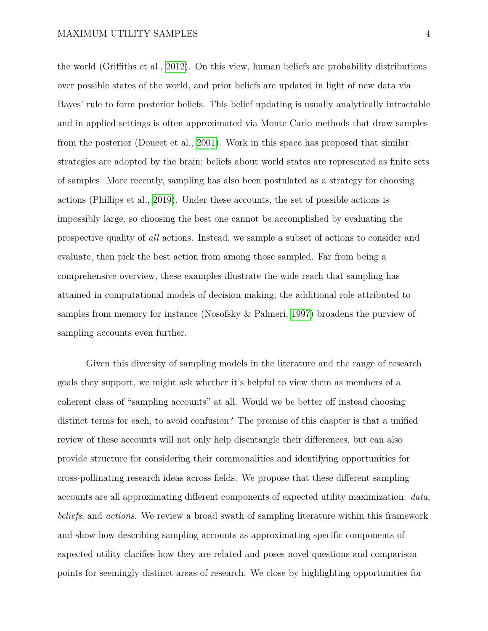the world (Griffiths et al., [2012\)](#page-41-0). On this view, human beliefs are probability distributions over possible states of the world, and prior beliefs are updated in light of new data via Bayes' rule to form posterior beliefs. This belief updating is usually analytically intractable and in applied settings is often approximated via Monte Carlo methods that draw samples from the posterior (Doucet et al., [2001\)](#page-39-0). Work in this space has proposed that similar strategies are adopted by the brain; beliefs about world states are represented as finite sets of samples. More recently, sampling has also been postulated as a strategy for choosing actions (Phillips et al., [2019\)](#page-45-0). Under these accounts, the set of possible actions is impossibly large, so choosing the best one cannot be accomplished by evaluating the prospective quality of *all* actions. Instead, we sample a subset of actions to consider and evaluate, then pick the best action from among those sampled. Far from being a comprehensive overview, these examples illustrate the wide reach that sampling has attained in computational models of decision making; the additional role attributed to samples from memory for instance (Nosofsky & Palmeri, [1997\)](#page-44-0) broadens the purview of sampling accounts even further.

Given this diversity of sampling models in the literature and the range of research goals they support, we might ask whether it's helpful to view them as members of a coherent class of "sampling accounts" at all. Would we be better off instead choosing distinct terms for each, to avoid confusion? The premise of this chapter is that a unified review of these accounts will not only help disentangle their differences, but can also provide structure for considering their commonalities and identifying opportunities for cross-pollinating research ideas across fields. We propose that these different sampling accounts are all approximating different components of expected utility maximization: *data*, *beliefs*, and *actions*. We review a broad swath of sampling literature within this framework and show how describing sampling accounts as approximating specific components of expected utility clarifies how they are related and poses novel questions and comparison points for seemingly distinct areas of research. We close by highlighting opportunities for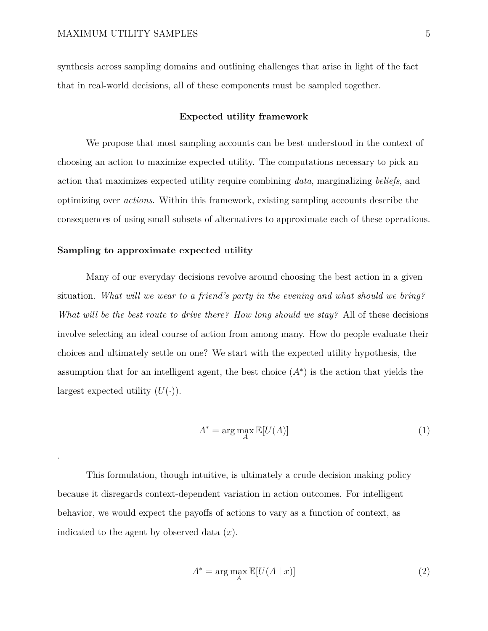synthesis across sampling domains and outlining challenges that arise in light of the fact that in real-world decisions, all of these components must be sampled together.

### **Expected utility framework**

We propose that most sampling accounts can be best understood in the context of choosing an action to maximize expected utility. The computations necessary to pick an action that maximizes expected utility require combining *data*, marginalizing *beliefs*, and optimizing over *actions*. Within this framework, existing sampling accounts describe the consequences of using small subsets of alternatives to approximate each of these operations.

### **Sampling to approximate expected utility**

.

Many of our everyday decisions revolve around choosing the best action in a given situation. *What will we wear to a friend's party in the evening and what should we bring? What will be the best route to drive there? How long should we stay?* All of these decisions involve selecting an ideal course of action from among many. How do people evaluate their choices and ultimately settle on one? We start with the expected utility hypothesis, the assumption that for an intelligent agent, the best choice  $(A^*)$  is the action that yields the largest expected utility  $(U(\cdot))$ .

$$
A^* = \arg\max_{A} \mathbb{E}[U(A)] \tag{1}
$$

This formulation, though intuitive, is ultimately a crude decision making policy because it disregards context-dependent variation in action outcomes. For intelligent behavior, we would expect the payoffs of actions to vary as a function of context, as indicated to the agent by observed data (*x*).

<span id="page-4-0"></span>
$$
A^* = \arg\max_{A} \mathbb{E}[U(A \mid x)] \tag{2}
$$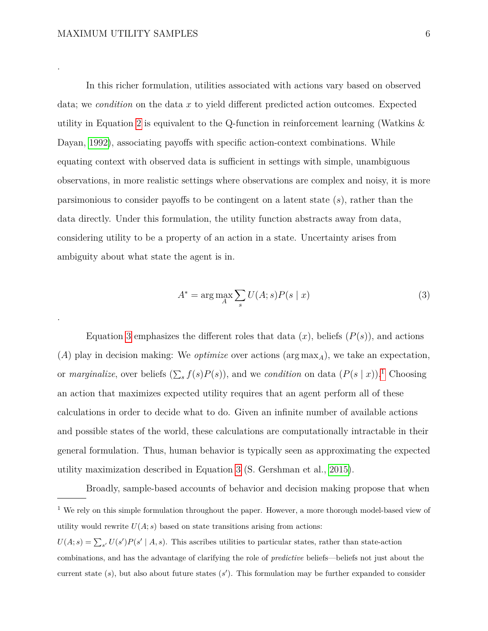.

.

In this richer formulation, utilities associated with actions vary based on observed data; we *condition* on the data *x* to yield different predicted action outcomes. Expected utility in Equation [2](#page-4-0) is equivalent to the Q-function in reinforcement learning (Watkins & Dayan, [1992\)](#page-46-0), associating payoffs with specific action-context combinations. While equating context with observed data is sufficient in settings with simple, unambiguous observations, in more realistic settings where observations are complex and noisy, it is more parsimonious to consider payoffs to be contingent on a latent state (*s*), rather than the data directly. Under this formulation, the utility function abstracts away from data, considering utility to be a property of an action in a state. Uncertainty arises from ambiguity about what state the agent is in.

<span id="page-5-0"></span>
$$
A^* = \arg\max_{A} \sum_{s} U(A; s) P(s \mid x)
$$
\n(3)

Equation [3](#page-5-0) emphasizes the different roles that data  $(x)$ , beliefs  $(P(s))$ , and actions (*A*) play in decision making: We *optimize* over actions (arg max*A*), we take an expectation, or *marginalize*, over beliefs  $(\sum_{s} f(s)P(s))$ , and we *condition* on data  $(P(s \mid x))$ .<sup>[1](#page-5-1)</sup> Choosing an action that maximizes expected utility requires that an agent perform all of these calculations in order to decide what to do. Given an infinite number of available actions and possible states of the world, these calculations are computationally intractable in their general formulation. Thus, human behavior is typically seen as approximating the expected utility maximization described in Equation [3](#page-5-0) (S. Gershman et al., [2015\)](#page-40-2).

<span id="page-5-1"></span>Broadly, sample-based accounts of behavior and decision making propose that when <sup>1</sup> We rely on this simple formulation throughout the paper. However, a more thorough model-based view of utility would rewrite  $U(A; s)$  based on state transitions arising from actions:  $U(A; s) = \sum_{s'} U(s')P(s' | A, s)$ . This ascribes utilities to particular states, rather than state-action combinations, and has the advantage of clarifying the role of *predictive* beliefs—beliefs not just about the current state  $(s)$ , but also about future states  $(s')$ . This formulation may be further expanded to consider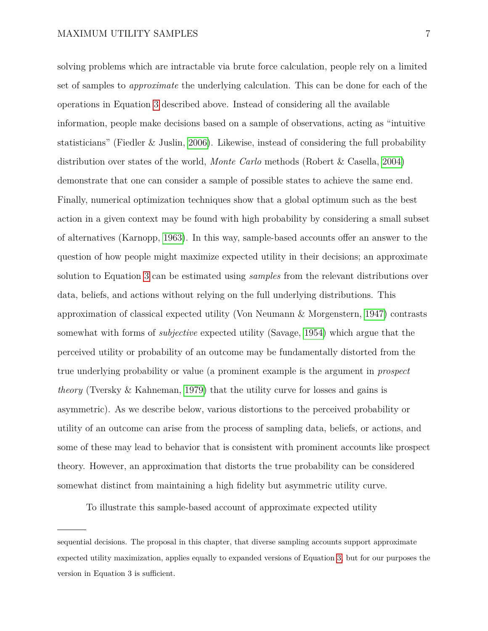solving problems which are intractable via brute force calculation, people rely on a limited set of samples to *approximate* the underlying calculation. This can be done for each of the operations in Equation [3](#page-5-0) described above. Instead of considering all the available information, people make decisions based on a sample of observations, acting as "intuitive statisticians" (Fiedler & Juslin, [2006\)](#page-40-0). Likewise, instead of considering the full probability distribution over states of the world, *Monte Carlo* methods (Robert & Casella, [2004\)](#page-45-1) demonstrate that one can consider a sample of possible states to achieve the same end. Finally, numerical optimization techniques show that a global optimum such as the best action in a given context may be found with high probability by considering a small subset of alternatives (Karnopp, [1963\)](#page-43-0). In this way, sample-based accounts offer an answer to the question of how people might maximize expected utility in their decisions; an approximate solution to Equation [3](#page-5-0) can be estimated using *samples* from the relevant distributions over data, beliefs, and actions without relying on the full underlying distributions. This approximation of classical expected utility (Von Neumann & Morgenstern, [1947\)](#page-46-1) contrasts somewhat with forms of *subjective* expected utility (Savage, [1954\)](#page-45-2) which argue that the perceived utility or probability of an outcome may be fundamentally distorted from the true underlying probability or value (a prominent example is the argument in *prospect theory* (Tversky & Kahneman, [1979\)](#page-46-2) that the utility curve for losses and gains is asymmetric). As we describe below, various distortions to the perceived probability or utility of an outcome can arise from the process of sampling data, beliefs, or actions, and some of these may lead to behavior that is consistent with prominent accounts like prospect theory. However, an approximation that distorts the true probability can be considered somewhat distinct from maintaining a high fidelity but asymmetric utility curve.

To illustrate this sample-based account of approximate expected utility

sequential decisions. The proposal in this chapter, that diverse sampling accounts support approximate expected utility maximization, applies equally to expanded versions of Equation [3,](#page-5-0) but for our purposes the version in Equation 3 is sufficient.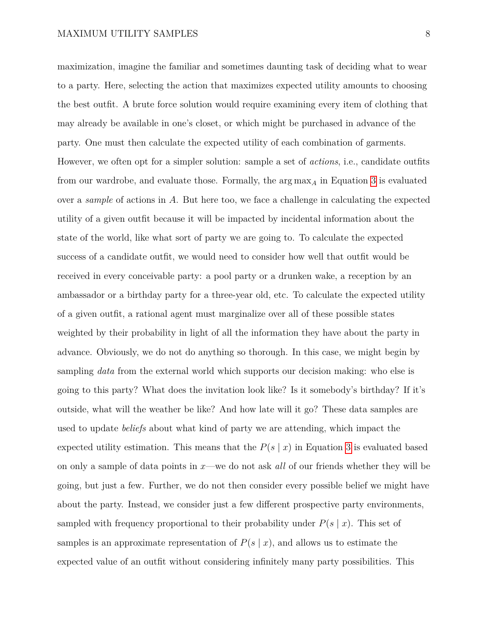maximization, imagine the familiar and sometimes daunting task of deciding what to wear to a party. Here, selecting the action that maximizes expected utility amounts to choosing the best outfit. A brute force solution would require examining every item of clothing that may already be available in one's closet, or which might be purchased in advance of the party. One must then calculate the expected utility of each combination of garments. However, we often opt for a simpler solution: sample a set of *actions*, i.e., candidate outfits from our wardrobe, and evaluate those. Formally, the arg max*<sup>A</sup>* in Equation [3](#page-5-0) is evaluated over a *sample* of actions in *A*. But here too, we face a challenge in calculating the expected utility of a given outfit because it will be impacted by incidental information about the state of the world, like what sort of party we are going to. To calculate the expected success of a candidate outfit, we would need to consider how well that outfit would be received in every conceivable party: a pool party or a drunken wake, a reception by an ambassador or a birthday party for a three-year old, etc. To calculate the expected utility of a given outfit, a rational agent must marginalize over all of these possible states weighted by their probability in light of all the information they have about the party in advance. Obviously, we do not do anything so thorough. In this case, we might begin by sampling *data* from the external world which supports our decision making: who else is going to this party? What does the invitation look like? Is it somebody's birthday? If it's outside, what will the weather be like? And how late will it go? These data samples are used to update *beliefs* about what kind of party we are attending, which impact the expected utility estimation. This means that the  $P(s | x)$  in Equation [3](#page-5-0) is evaluated based on only a sample of data points in *x*—we do not ask *all* of our friends whether they will be going, but just a few. Further, we do not then consider every possible belief we might have about the party. Instead, we consider just a few different prospective party environments, sampled with frequency proportional to their probability under  $P(s | x)$ . This set of samples is an approximate representation of  $P(s | x)$ , and allows us to estimate the expected value of an outfit without considering infinitely many party possibilities. This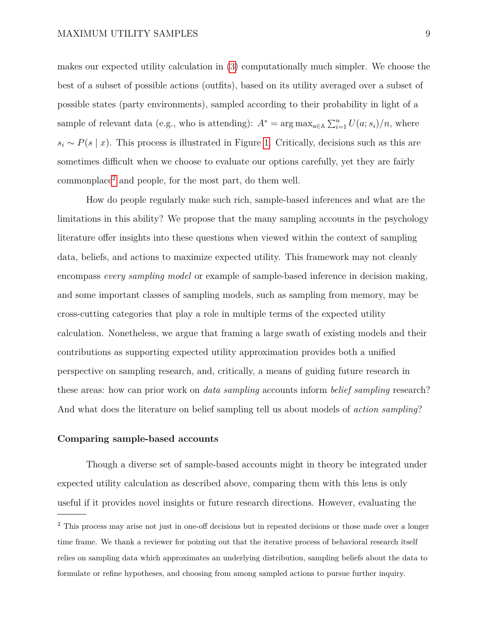makes our expected utility calculation in [\(3\)](#page-5-0) computationally much simpler. We choose the best of a subset of possible actions (outfits), based on its utility averaged over a subset of possible states (party environments), sampled according to their probability in light of a sample of relevant data (e.g., who is attending):  $A^* = \arg \max_{a \in A} \sum_{i=1}^n U(a; s_i)/n$ , where  $s_i \sim P(s \mid x)$ . This process is illustrated in Figure [1.](#page-9-0) Critically, decisions such as this are sometimes difficult when we choose to evaluate our options carefully, yet they are fairly commonplace[2](#page-8-0) and people, for the most part, do them well.

How do people regularly make such rich, sample-based inferences and what are the limitations in this ability? We propose that the many sampling accounts in the psychology literature offer insights into these questions when viewed within the context of sampling data, beliefs, and actions to maximize expected utility. This framework may not cleanly encompass *every sampling model* or example of sample-based inference in decision making, and some important classes of sampling models, such as sampling from memory, may be cross-cutting categories that play a role in multiple terms of the expected utility calculation. Nonetheless, we argue that framing a large swath of existing models and their contributions as supporting expected utility approximation provides both a unified perspective on sampling research, and, critically, a means of guiding future research in these areas: how can prior work on *data sampling* accounts inform *belief sampling* research? And what does the literature on belief sampling tell us about models of *action sampling*?

#### **Comparing sample-based accounts**

Though a diverse set of sample-based accounts might in theory be integrated under expected utility calculation as described above, comparing them with this lens is only useful if it provides novel insights or future research directions. However, evaluating the

<span id="page-8-0"></span><sup>&</sup>lt;sup>2</sup> This process may arise not just in one-off decisions but in repeated decisions or those made over a longer time frame. We thank a reviewer for pointing out that the iterative process of behavioral research itself relies on sampling data which approximates an underlying distribution, sampling beliefs about the data to formulate or refine hypotheses, and choosing from among sampled actions to pursue further inquiry.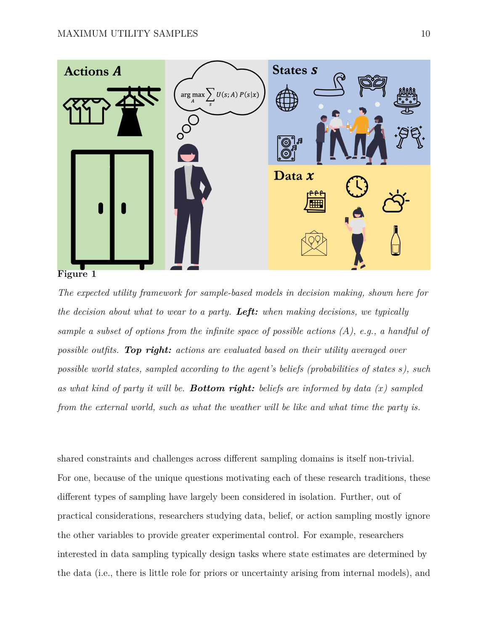<span id="page-9-0"></span>

*The expected utility framework for sample-based models in decision making, shown here for the decision about what to wear to a party. Left: when making decisions, we typically sample a subset of options from the infinite space of possible actions (A), e.g., a handful of possible outfits. Top right: actions are evaluated based on their utility averaged over possible world states, sampled according to the agent's beliefs (probabilities of states s), such as what kind of party it will be. Bottom right: beliefs are informed by data (x) sampled from the external world, such as what the weather will be like and what time the party is.*

shared constraints and challenges across different sampling domains is itself non-trivial. For one, because of the unique questions motivating each of these research traditions, these different types of sampling have largely been considered in isolation. Further, out of practical considerations, researchers studying data, belief, or action sampling mostly ignore the other variables to provide greater experimental control. For example, researchers interested in data sampling typically design tasks where state estimates are determined by the data (i.e., there is little role for priors or uncertainty arising from internal models), and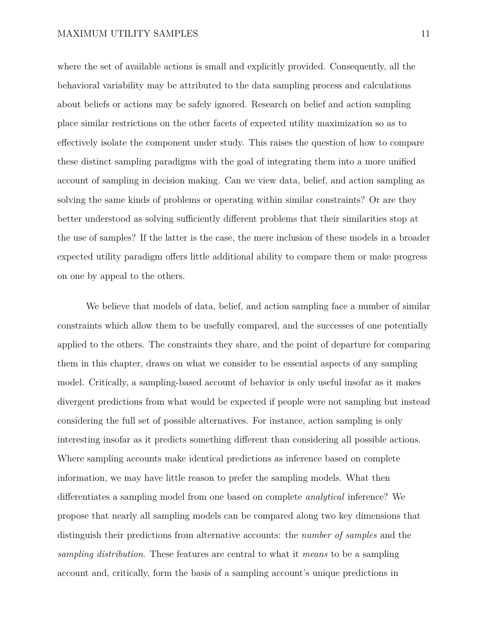where the set of available actions is small and explicitly provided. Consequently, all the behavioral variability may be attributed to the data sampling process and calculations about beliefs or actions may be safely ignored. Research on belief and action sampling place similar restrictions on the other facets of expected utility maximization so as to effectively isolate the component under study. This raises the question of how to compare these distinct sampling paradigms with the goal of integrating them into a more unified account of sampling in decision making. Can we view data, belief, and action sampling as solving the same kinds of problems or operating within similar constraints? Or are they better understood as solving sufficiently different problems that their similarities stop at the use of samples? If the latter is the case, the mere inclusion of these models in a broader expected utility paradigm offers little additional ability to compare them or make progress on one by appeal to the others.

We believe that models of data, belief, and action sampling face a number of similar constraints which allow them to be usefully compared, and the successes of one potentially applied to the others. The constraints they share, and the point of departure for comparing them in this chapter, draws on what we consider to be essential aspects of any sampling model. Critically, a sampling-based account of behavior is only useful insofar as it makes divergent predictions from what would be expected if people were not sampling but instead considering the full set of possible alternatives. For instance, action sampling is only interesting insofar as it predicts something different than considering all possible actions. Where sampling accounts make identical predictions as inference based on complete information, we may have little reason to prefer the sampling models. What then differentiates a sampling model from one based on complete *analytical* inference? We propose that nearly all sampling models can be compared along two key dimensions that distinguish their predictions from alternative accounts: the *number of samples* and the *sampling distribution*. These features are central to what it *means* to be a sampling account and, critically, form the basis of a sampling account's unique predictions in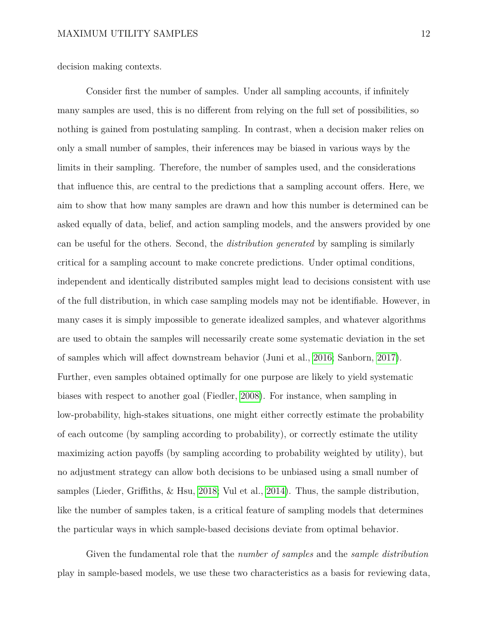decision making contexts.

Consider first the number of samples. Under all sampling accounts, if infinitely many samples are used, this is no different from relying on the full set of possibilities, so nothing is gained from postulating sampling. In contrast, when a decision maker relies on only a small number of samples, their inferences may be biased in various ways by the limits in their sampling. Therefore, the number of samples used, and the considerations that influence this, are central to the predictions that a sampling account offers. Here, we aim to show that how many samples are drawn and how this number is determined can be asked equally of data, belief, and action sampling models, and the answers provided by one can be useful for the others. Second, the *distribution generated* by sampling is similarly critical for a sampling account to make concrete predictions. Under optimal conditions, independent and identically distributed samples might lead to decisions consistent with use of the full distribution, in which case sampling models may not be identifiable. However, in many cases it is simply impossible to generate idealized samples, and whatever algorithms are used to obtain the samples will necessarily create some systematic deviation in the set of samples which will affect downstream behavior (Juni et al., [2016;](#page-42-0) Sanborn, [2017\)](#page-45-3). Further, even samples obtained optimally for one purpose are likely to yield systematic biases with respect to another goal (Fiedler, [2008\)](#page-40-3). For instance, when sampling in low-probability, high-stakes situations, one might either correctly estimate the probability of each outcome (by sampling according to probability), or correctly estimate the utility maximizing action payoffs (by sampling according to probability weighted by utility), but no adjustment strategy can allow both decisions to be unbiased using a small number of samples (Lieder, Griffiths, & Hsu, [2018;](#page-43-1) Vul et al., [2014\)](#page-46-3). Thus, the sample distribution, like the number of samples taken, is a critical feature of sampling models that determines the particular ways in which sample-based decisions deviate from optimal behavior.

Given the fundamental role that the *number of samples* and the *sample distribution* play in sample-based models, we use these two characteristics as a basis for reviewing data,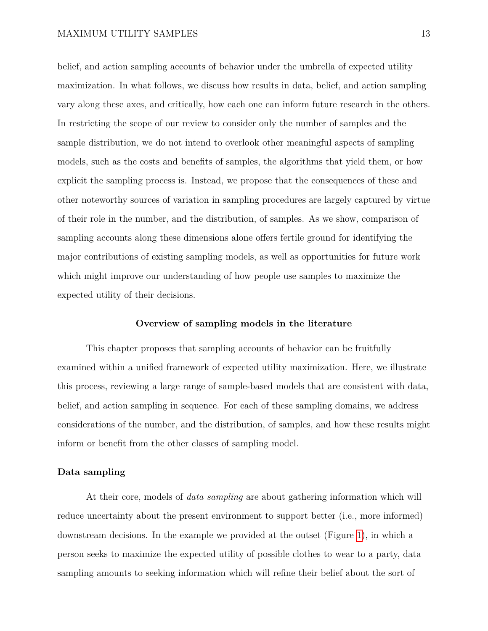belief, and action sampling accounts of behavior under the umbrella of expected utility maximization. In what follows, we discuss how results in data, belief, and action sampling vary along these axes, and critically, how each one can inform future research in the others. In restricting the scope of our review to consider only the number of samples and the sample distribution, we do not intend to overlook other meaningful aspects of sampling models, such as the costs and benefits of samples, the algorithms that yield them, or how explicit the sampling process is. Instead, we propose that the consequences of these and other noteworthy sources of variation in sampling procedures are largely captured by virtue of their role in the number, and the distribution, of samples. As we show, comparison of sampling accounts along these dimensions alone offers fertile ground for identifying the major contributions of existing sampling models, as well as opportunities for future work which might improve our understanding of how people use samples to maximize the expected utility of their decisions.

### **Overview of sampling models in the literature**

This chapter proposes that sampling accounts of behavior can be fruitfully examined within a unified framework of expected utility maximization. Here, we illustrate this process, reviewing a large range of sample-based models that are consistent with data, belief, and action sampling in sequence. For each of these sampling domains, we address considerations of the number, and the distribution, of samples, and how these results might inform or benefit from the other classes of sampling model.

### **Data sampling**

At their core, models of *data sampling* are about gathering information which will reduce uncertainty about the present environment to support better (i.e., more informed) downstream decisions. In the example we provided at the outset (Figure [1\)](#page-9-0), in which a person seeks to maximize the expected utility of possible clothes to wear to a party, data sampling amounts to seeking information which will refine their belief about the sort of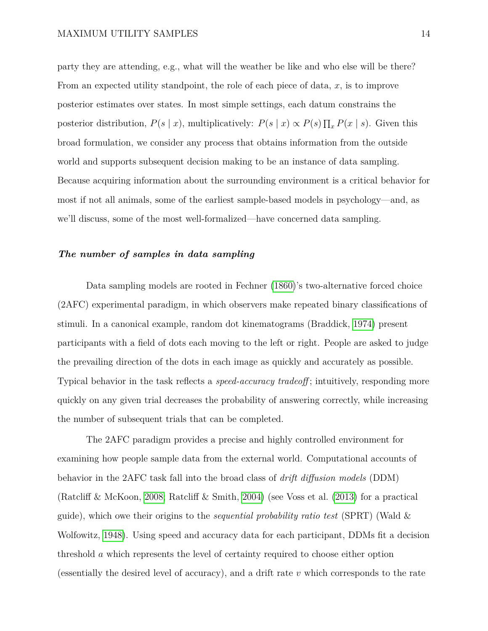party they are attending, e.g., what will the weather be like and who else will be there? From an expected utility standpoint, the role of each piece of data, *x*, is to improve posterior estimates over states. In most simple settings, each datum constrains the posterior distribution,  $P(s | x)$ , multiplicatively:  $P(s | x) \propto P(s) \prod_x P(x | s)$ . Given this broad formulation, we consider any process that obtains information from the outside world and supports subsequent decision making to be an instance of data sampling. Because acquiring information about the surrounding environment is a critical behavior for most if not all animals, some of the earliest sample-based models in psychology—and, as we'll discuss, some of the most well-formalized—have concerned data sampling.

### *The number of samples in data sampling*

Data sampling models are rooted in Fechner [\(1860\)](#page-39-1)'s two-alternative forced choice (2AFC) experimental paradigm, in which observers make repeated binary classifications of stimuli. In a canonical example, random dot kinematograms (Braddick, [1974\)](#page-38-0) present participants with a field of dots each moving to the left or right. People are asked to judge the prevailing direction of the dots in each image as quickly and accurately as possible. Typical behavior in the task reflects a *speed-accuracy tradeoff* ; intuitively, responding more quickly on any given trial decreases the probability of answering correctly, while increasing the number of subsequent trials that can be completed.

The 2AFC paradigm provides a precise and highly controlled environment for examining how people sample data from the external world. Computational accounts of behavior in the 2AFC task fall into the broad class of *drift diffusion models* (DDM) (Ratcliff & McKoon, [2008;](#page-45-4) Ratcliff & Smith, [2004\)](#page-45-5) (see Voss et al. [\(2013\)](#page-46-4) for a practical guide), which owe their origins to the *sequential probability ratio test* (SPRT) (Wald & Wolfowitz, [1948\)](#page-46-5). Using speed and accuracy data for each participant, DDMs fit a decision threshold *a* which represents the level of certainty required to choose either option (essentially the desired level of accuracy), and a drift rate *v* which corresponds to the rate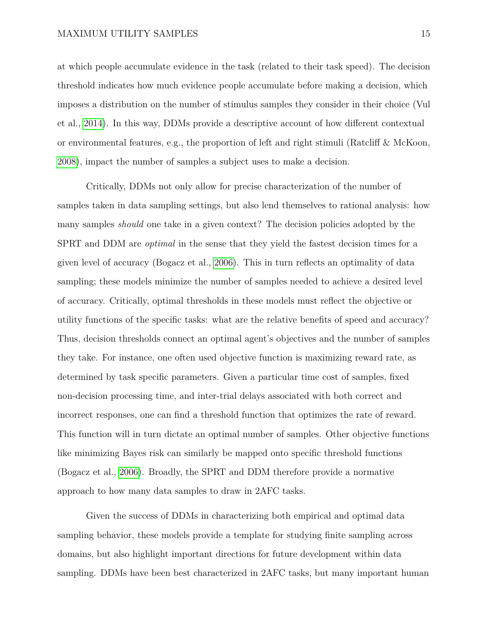at which people accumulate evidence in the task (related to their task speed). The decision threshold indicates how much evidence people accumulate before making a decision, which imposes a distribution on the number of stimulus samples they consider in their choice (Vul et al., [2014\)](#page-46-3). In this way, DDMs provide a descriptive account of how different contextual or environmental features, e.g., the proportion of left and right stimuli (Ratcliff & McKoon, [2008\)](#page-45-4), impact the number of samples a subject uses to make a decision.

Critically, DDMs not only allow for precise characterization of the number of samples taken in data sampling settings, but also lend themselves to rational analysis: how many samples *should* one take in a given context? The decision policies adopted by the SPRT and DDM are *optimal* in the sense that they yield the fastest decision times for a given level of accuracy (Bogacz et al., [2006\)](#page-38-1). This in turn reflects an optimality of data sampling; these models minimize the number of samples needed to achieve a desired level of accuracy. Critically, optimal thresholds in these models must reflect the objective or utility functions of the specific tasks: what are the relative benefits of speed and accuracy? Thus, decision thresholds connect an optimal agent's objectives and the number of samples they take. For instance, one often used objective function is maximizing reward rate, as determined by task specific parameters. Given a particular time cost of samples, fixed non-decision processing time, and inter-trial delays associated with both correct and incorrect responses, one can find a threshold function that optimizes the rate of reward. This function will in turn dictate an optimal number of samples. Other objective functions like minimizing Bayes risk can similarly be mapped onto specific threshold functions (Bogacz et al., [2006\)](#page-38-1). Broadly, the SPRT and DDM therefore provide a normative approach to how many data samples to draw in 2AFC tasks.

Given the success of DDMs in characterizing both empirical and optimal data sampling behavior, these models provide a template for studying finite sampling across domains, but also highlight important directions for future development within data sampling. DDMs have been best characterized in 2AFC tasks, but many important human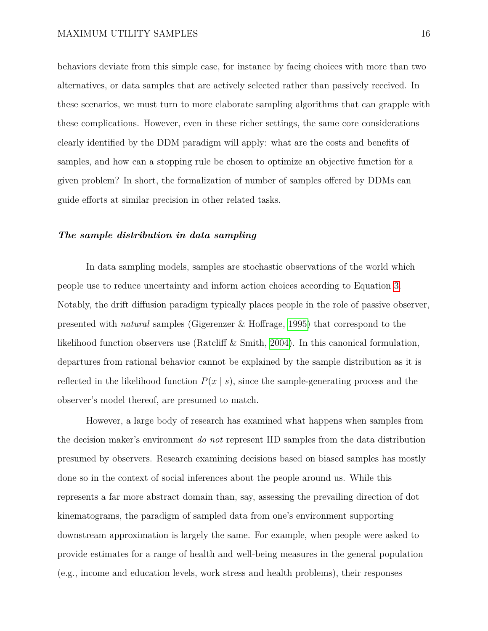behaviors deviate from this simple case, for instance by facing choices with more than two alternatives, or data samples that are actively selected rather than passively received. In these scenarios, we must turn to more elaborate sampling algorithms that can grapple with these complications. However, even in these richer settings, the same core considerations clearly identified by the DDM paradigm will apply: what are the costs and benefits of samples, and how can a stopping rule be chosen to optimize an objective function for a given problem? In short, the formalization of number of samples offered by DDMs can guide efforts at similar precision in other related tasks.

### *The sample distribution in data sampling*

In data sampling models, samples are stochastic observations of the world which people use to reduce uncertainty and inform action choices according to Equation [3.](#page-5-0) Notably, the drift diffusion paradigm typically places people in the role of passive observer, presented with *natural* samples (Gigerenzer & Hoffrage, [1995\)](#page-40-4) that correspond to the likelihood function observers use (Ratcliff & Smith, [2004\)](#page-45-5). In this canonical formulation, departures from rational behavior cannot be explained by the sample distribution as it is reflected in the likelihood function  $P(x | s)$ , since the sample-generating process and the observer's model thereof, are presumed to match.

However, a large body of research has examined what happens when samples from the decision maker's environment *do not* represent IID samples from the data distribution presumed by observers. Research examining decisions based on biased samples has mostly done so in the context of social inferences about the people around us. While this represents a far more abstract domain than, say, assessing the prevailing direction of dot kinematograms, the paradigm of sampled data from one's environment supporting downstream approximation is largely the same. For example, when people were asked to provide estimates for a range of health and well-being measures in the general population (e.g., income and education levels, work stress and health problems), their responses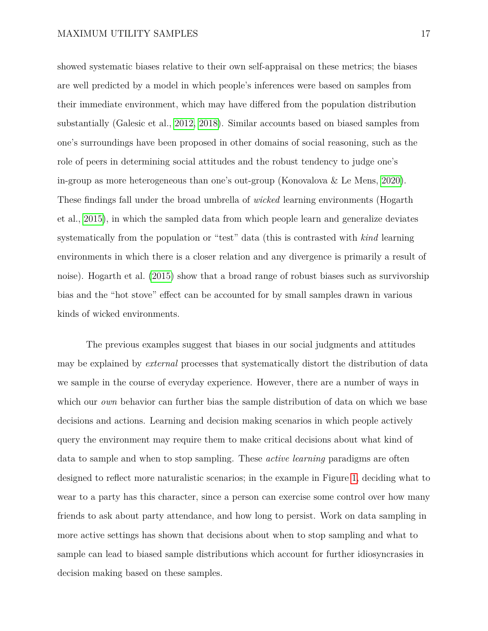showed systematic biases relative to their own self-appraisal on these metrics; the biases are well predicted by a model in which people's inferences were based on samples from their immediate environment, which may have differed from the population distribution substantially (Galesic et al., [2012,](#page-40-5) [2018\)](#page-40-6). Similar accounts based on biased samples from one's surroundings have been proposed in other domains of social reasoning, such as the role of peers in determining social attitudes and the robust tendency to judge one's in-group as more heterogeneous than one's out-group (Konovalova & Le Mens, [2020\)](#page-43-2). These findings fall under the broad umbrella of *wicked* learning environments (Hogarth et al., [2015\)](#page-42-1), in which the sampled data from which people learn and generalize deviates systematically from the population or "test" data (this is contrasted with *kind* learning environments in which there is a closer relation and any divergence is primarily a result of noise). Hogarth et al. [\(2015\)](#page-42-1) show that a broad range of robust biases such as survivorship bias and the "hot stove" effect can be accounted for by small samples drawn in various kinds of wicked environments.

The previous examples suggest that biases in our social judgments and attitudes may be explained by *external* processes that systematically distort the distribution of data we sample in the course of everyday experience. However, there are a number of ways in which our *own* behavior can further bias the sample distribution of data on which we base decisions and actions. Learning and decision making scenarios in which people actively query the environment may require them to make critical decisions about what kind of data to sample and when to stop sampling. These *active learning* paradigms are often designed to reflect more naturalistic scenarios; in the example in Figure [1,](#page-9-0) deciding what to wear to a party has this character, since a person can exercise some control over how many friends to ask about party attendance, and how long to persist. Work on data sampling in more active settings has shown that decisions about when to stop sampling and what to sample can lead to biased sample distributions which account for further idiosyncrasies in decision making based on these samples.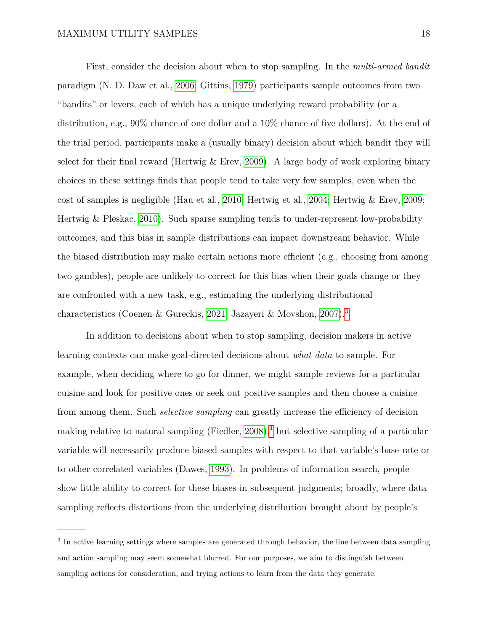First, consider the decision about when to stop sampling. In the *multi-armed bandit* paradigm (N. D. Daw et al., [2006;](#page-39-2) Gittins, [1979\)](#page-40-7) participants sample outcomes from two "bandits" or levers, each of which has a unique underlying reward probability (or a distribution, e.g., 90% chance of one dollar and a 10% chance of five dollars). At the end of the trial period, participants make a (usually binary) decision about which bandit they will select for their final reward (Hertwig  $&$  Erev, [2009\)](#page-41-1). A large body of work exploring binary choices in these settings finds that people tend to take very few samples, even when the cost of samples is negligible (Hau et al., [2010;](#page-41-2) Hertwig et al., [2004;](#page-41-3) Hertwig & Erev, [2009;](#page-41-1) Hertwig & Pleskac, [2010\)](#page-42-2). Such sparse sampling tends to under-represent low-probability outcomes, and this bias in sample distributions can impact downstream behavior. While the biased distribution may make certain actions more efficient (e.g., choosing from among two gambles), people are unlikely to correct for this bias when their goals change or they are confronted with a new task, e.g., estimating the underlying distributional characteristics (Coenen & Gureckis, [2021;](#page-39-3) Jazayeri & Movshon, [2007\)](#page-42-3).[3](#page-17-0)

In addition to decisions about when to stop sampling, decision makers in active learning contexts can make goal-directed decisions about *what data* to sample. For example, when deciding where to go for dinner, we might sample reviews for a particular cuisine and look for positive ones or seek out positive samples and then choose a cuisine from among them. Such *selective sampling* can greatly increase the efficiency of decision making relative to natural sampling (Fiedler, [2008\)](#page-40-3),<sup>[4](#page-18-0)</sup> but selective sampling of a particular variable will necessarily produce biased samples with respect to that variable's base rate or to other correlated variables (Dawes, [1993\)](#page-39-4). In problems of information search, people show little ability to correct for these biases in subsequent judgments; broadly, where data sampling reflects distortions from the underlying distribution brought about by people's

<span id="page-17-0"></span><sup>&</sup>lt;sup>3</sup> In active learning settings where samples are generated through behavior, the line between data sampling and action sampling may seem somewhat blurred. For our purposes, we aim to distinguish between sampling actions for consideration, and trying actions to learn from the data they generate.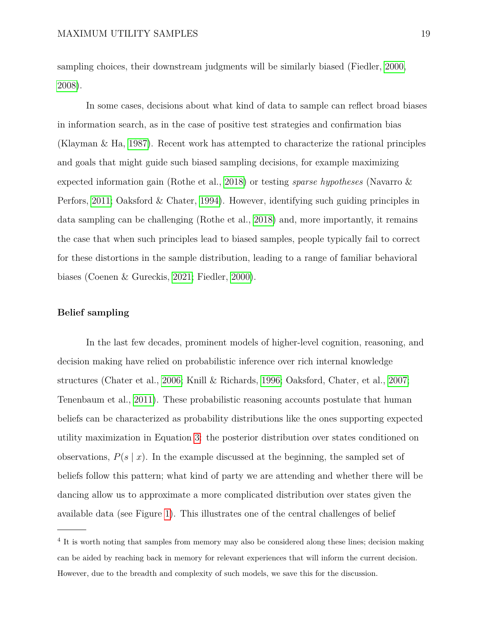sampling choices, their downstream judgments will be similarly biased (Fiedler, [2000,](#page-40-1) [2008\)](#page-40-3).

In some cases, decisions about what kind of data to sample can reflect broad biases in information search, as in the case of positive test strategies and confirmation bias (Klayman & Ha, [1987\)](#page-43-3). Recent work has attempted to characterize the rational principles and goals that might guide such biased sampling decisions, for example maximizing expected information gain (Rothe et al., [2018\)](#page-45-6) or testing *sparse hypotheses* (Navarro & Perfors, [2011;](#page-44-1) Oaksford & Chater, [1994\)](#page-44-2). However, identifying such guiding principles in data sampling can be challenging (Rothe et al., [2018\)](#page-45-6) and, more importantly, it remains the case that when such principles lead to biased samples, people typically fail to correct for these distortions in the sample distribution, leading to a range of familiar behavioral biases (Coenen & Gureckis, [2021;](#page-39-3) Fiedler, [2000\)](#page-40-1).

### **Belief sampling**

In the last few decades, prominent models of higher-level cognition, reasoning, and decision making have relied on probabilistic inference over rich internal knowledge structures (Chater et al., [2006;](#page-39-5) Knill & Richards, [1996;](#page-43-4) Oaksford, Chater, et al., [2007;](#page-44-3) Tenenbaum et al., [2011\)](#page-46-6). These probabilistic reasoning accounts postulate that human beliefs can be characterized as probability distributions like the ones supporting expected utility maximization in Equation [3:](#page-5-0) the posterior distribution over states conditioned on observations,  $P(s | x)$ . In the example discussed at the beginning, the sampled set of beliefs follow this pattern; what kind of party we are attending and whether there will be dancing allow us to approximate a more complicated distribution over states given the available data (see Figure [1\)](#page-9-0). This illustrates one of the central challenges of belief

<span id="page-18-0"></span><sup>&</sup>lt;sup>4</sup> It is worth noting that samples from memory may also be considered along these lines; decision making can be aided by reaching back in memory for relevant experiences that will inform the current decision. However, due to the breadth and complexity of such models, we save this for the discussion.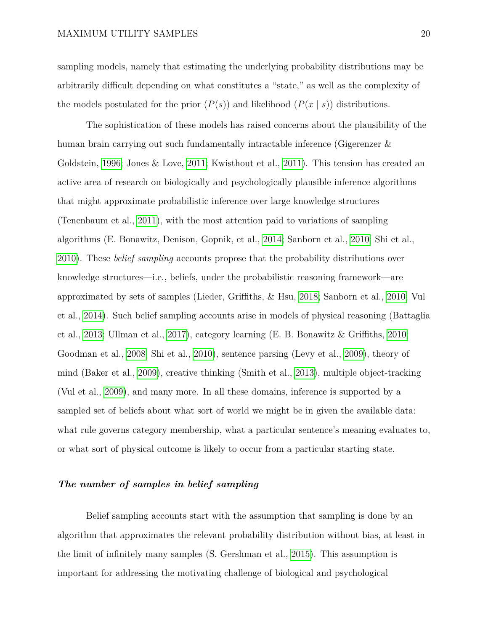sampling models, namely that estimating the underlying probability distributions may be arbitrarily difficult depending on what constitutes a "state," as well as the complexity of the models postulated for the prior  $(P(s))$  and likelihood  $(P(x | s))$  distributions.

The sophistication of these models has raised concerns about the plausibility of the human brain carrying out such fundamentally intractable inference (Gigerenzer & Goldstein, [1996;](#page-40-8) Jones & Love, [2011;](#page-42-4) Kwisthout et al., [2011\)](#page-43-5). This tension has created an active area of research on biologically and psychologically plausible inference algorithms that might approximate probabilistic inference over large knowledge structures (Tenenbaum et al., [2011\)](#page-46-6), with the most attention paid to variations of sampling algorithms (E. Bonawitz, Denison, Gopnik, et al., [2014;](#page-38-2) Sanborn et al., [2010;](#page-45-7) Shi et al., [2010\)](#page-45-8). These *belief sampling* accounts propose that the probability distributions over knowledge structures—i.e., beliefs, under the probabilistic reasoning framework—are approximated by sets of samples (Lieder, Griffiths, & Hsu, [2018;](#page-43-1) Sanborn et al., [2010;](#page-45-7) Vul et al., [2014\)](#page-46-3). Such belief sampling accounts arise in models of physical reasoning (Battaglia et al., [2013;](#page-38-3) Ullman et al., [2017\)](#page-46-7), category learning (E. B. Bonawitz & Griffiths, [2010;](#page-38-4) Goodman et al., [2008;](#page-41-4) Shi et al., [2010\)](#page-45-8), sentence parsing (Levy et al., [2009\)](#page-43-6), theory of mind (Baker et al., [2009\)](#page-38-5), creative thinking (Smith et al., [2013\)](#page-45-9), multiple object-tracking (Vul et al., [2009\)](#page-46-8), and many more. In all these domains, inference is supported by a sampled set of beliefs about what sort of world we might be in given the available data: what rule governs category membership, what a particular sentence's meaning evaluates to, or what sort of physical outcome is likely to occur from a particular starting state.

# *The number of samples in belief sampling*

Belief sampling accounts start with the assumption that sampling is done by an algorithm that approximates the relevant probability distribution without bias, at least in the limit of infinitely many samples (S. Gershman et al., [2015\)](#page-40-2). This assumption is important for addressing the motivating challenge of biological and psychological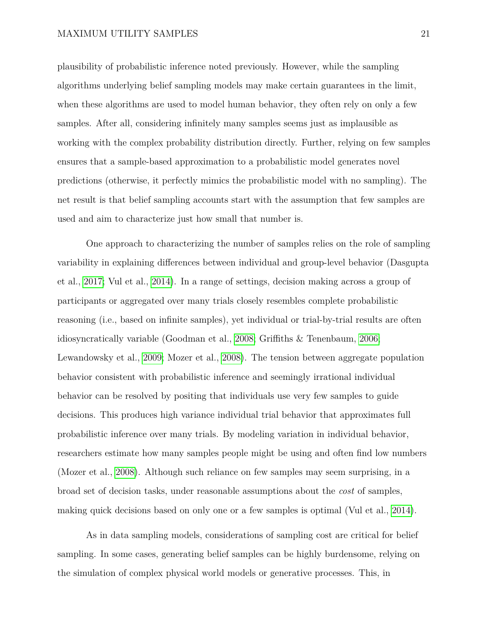plausibility of probabilistic inference noted previously. However, while the sampling algorithms underlying belief sampling models may make certain guarantees in the limit, when these algorithms are used to model human behavior, they often rely on only a few samples. After all, considering infinitely many samples seems just as implausible as working with the complex probability distribution directly. Further, relying on few samples ensures that a sample-based approximation to a probabilistic model generates novel predictions (otherwise, it perfectly mimics the probabilistic model with no sampling). The net result is that belief sampling accounts start with the assumption that few samples are used and aim to characterize just how small that number is.

One approach to characterizing the number of samples relies on the role of sampling variability in explaining differences between individual and group-level behavior (Dasgupta et al., [2017;](#page-39-6) Vul et al., [2014\)](#page-46-3). In a range of settings, decision making across a group of participants or aggregated over many trials closely resembles complete probabilistic reasoning (i.e., based on infinite samples), yet individual or trial-by-trial results are often idiosyncratically variable (Goodman et al., [2008;](#page-41-4) Griffiths & Tenenbaum, [2006;](#page-41-5) Lewandowsky et al., [2009;](#page-43-7) Mozer et al., [2008\)](#page-44-4). The tension between aggregate population behavior consistent with probabilistic inference and seemingly irrational individual behavior can be resolved by positing that individuals use very few samples to guide decisions. This produces high variance individual trial behavior that approximates full probabilistic inference over many trials. By modeling variation in individual behavior, researchers estimate how many samples people might be using and often find low numbers (Mozer et al., [2008\)](#page-44-4). Although such reliance on few samples may seem surprising, in a broad set of decision tasks, under reasonable assumptions about the *cost* of samples, making quick decisions based on only one or a few samples is optimal (Vul et al., [2014\)](#page-46-3).

As in data sampling models, considerations of sampling cost are critical for belief sampling. In some cases, generating belief samples can be highly burdensome, relying on the simulation of complex physical world models or generative processes. This, in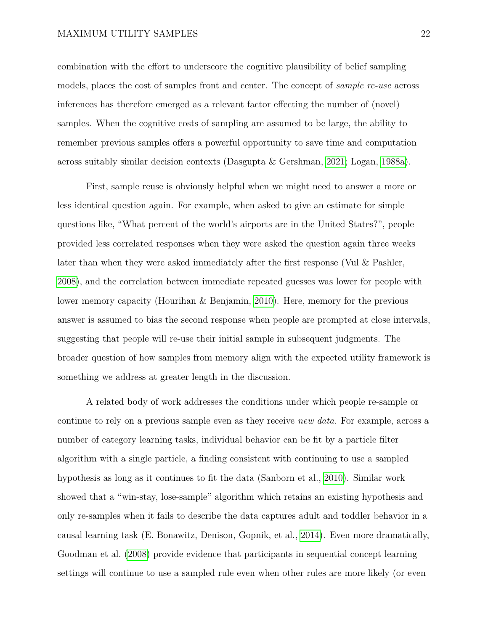combination with the effort to underscore the cognitive plausibility of belief sampling models, places the cost of samples front and center. The concept of *sample re-use* across inferences has therefore emerged as a relevant factor effecting the number of (novel) samples. When the cognitive costs of sampling are assumed to be large, the ability to remember previous samples offers a powerful opportunity to save time and computation across suitably similar decision contexts (Dasgupta & Gershman, [2021;](#page-39-7) Logan, [1988a\)](#page-43-8).

First, sample reuse is obviously helpful when we might need to answer a more or less identical question again. For example, when asked to give an estimate for simple questions like, "What percent of the world's airports are in the United States?", people provided less correlated responses when they were asked the question again three weeks later than when they were asked immediately after the first response (Vul & Pashler, [2008\)](#page-46-9), and the correlation between immediate repeated guesses was lower for people with lower memory capacity (Hourihan & Benjamin, [2010\)](#page-42-5). Here, memory for the previous answer is assumed to bias the second response when people are prompted at close intervals, suggesting that people will re-use their initial sample in subsequent judgments. The broader question of how samples from memory align with the expected utility framework is something we address at greater length in the discussion.

A related body of work addresses the conditions under which people re-sample or continue to rely on a previous sample even as they receive *new data*. For example, across a number of category learning tasks, individual behavior can be fit by a particle filter algorithm with a single particle, a finding consistent with continuing to use a sampled hypothesis as long as it continues to fit the data (Sanborn et al., [2010\)](#page-45-7). Similar work showed that a "win-stay, lose-sample" algorithm which retains an existing hypothesis and only re-samples when it fails to describe the data captures adult and toddler behavior in a causal learning task (E. Bonawitz, Denison, Gopnik, et al., [2014\)](#page-38-2). Even more dramatically, Goodman et al. [\(2008\)](#page-41-4) provide evidence that participants in sequential concept learning settings will continue to use a sampled rule even when other rules are more likely (or even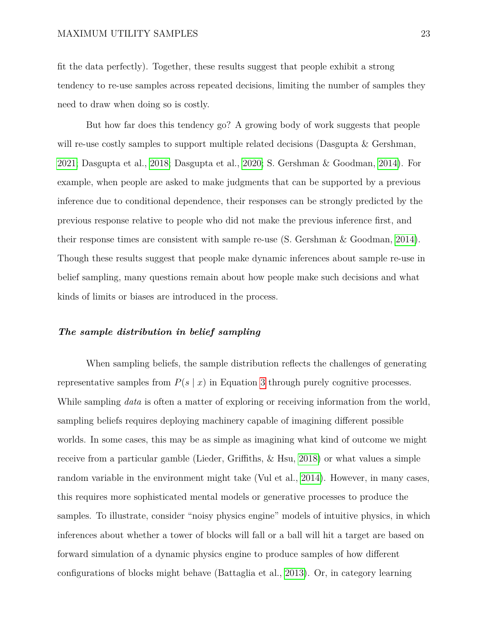fit the data perfectly). Together, these results suggest that people exhibit a strong tendency to re-use samples across repeated decisions, limiting the number of samples they need to draw when doing so is costly.

But how far does this tendency go? A growing body of work suggests that people will re-use costly samples to support multiple related decisions (Dasgupta & Gershman, [2021;](#page-39-7) Dasgupta et al., [2018;](#page-39-8) Dasgupta et al., [2020;](#page-39-9) S. Gershman & Goodman, [2014\)](#page-40-9). For example, when people are asked to make judgments that can be supported by a previous inference due to conditional dependence, their responses can be strongly predicted by the previous response relative to people who did not make the previous inference first, and their response times are consistent with sample re-use (S. Gershman & Goodman, [2014\)](#page-40-9). Though these results suggest that people make dynamic inferences about sample re-use in belief sampling, many questions remain about how people make such decisions and what kinds of limits or biases are introduced in the process.

### *The sample distribution in belief sampling*

When sampling beliefs, the sample distribution reflects the challenges of generating representative samples from  $P(s \mid x)$  in Equation [3](#page-5-0) through purely cognitive processes. While sampling *data* is often a matter of exploring or receiving information from the world, sampling beliefs requires deploying machinery capable of imagining different possible worlds. In some cases, this may be as simple as imagining what kind of outcome we might receive from a particular gamble (Lieder, Griffiths, & Hsu, [2018\)](#page-43-1) or what values a simple random variable in the environment might take (Vul et al., [2014\)](#page-46-3). However, in many cases, this requires more sophisticated mental models or generative processes to produce the samples. To illustrate, consider "noisy physics engine" models of intuitive physics, in which inferences about whether a tower of blocks will fall or a ball will hit a target are based on forward simulation of a dynamic physics engine to produce samples of how different configurations of blocks might behave (Battaglia et al., [2013\)](#page-38-3). Or, in category learning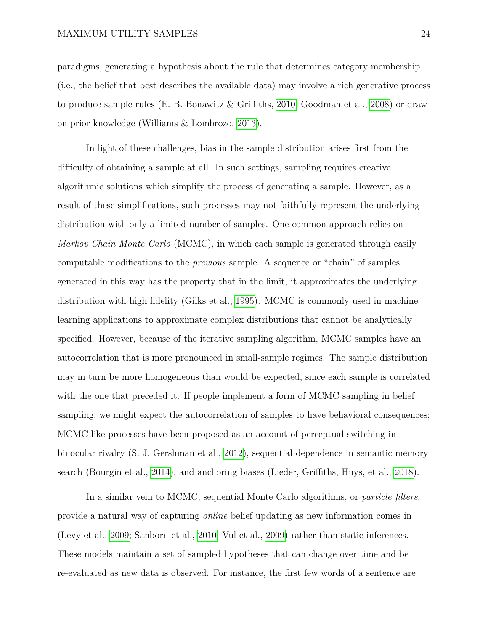paradigms, generating a hypothesis about the rule that determines category membership (i.e., the belief that best describes the available data) may involve a rich generative process to produce sample rules (E. B. Bonawitz & Griffiths, [2010;](#page-38-4) Goodman et al., [2008\)](#page-41-4) or draw on prior knowledge (Williams & Lombrozo, [2013\)](#page-46-10).

In light of these challenges, bias in the sample distribution arises first from the difficulty of obtaining a sample at all. In such settings, sampling requires creative algorithmic solutions which simplify the process of generating a sample. However, as a result of these simplifications, such processes may not faithfully represent the underlying distribution with only a limited number of samples. One common approach relies on *Markov Chain Monte Carlo* (MCMC), in which each sample is generated through easily computable modifications to the *previous* sample. A sequence or "chain" of samples generated in this way has the property that in the limit, it approximates the underlying distribution with high fidelity (Gilks et al., [1995\)](#page-40-10). MCMC is commonly used in machine learning applications to approximate complex distributions that cannot be analytically specified. However, because of the iterative sampling algorithm, MCMC samples have an autocorrelation that is more pronounced in small-sample regimes. The sample distribution may in turn be more homogeneous than would be expected, since each sample is correlated with the one that preceded it. If people implement a form of MCMC sampling in belief sampling, we might expect the autocorrelation of samples to have behavioral consequences; MCMC-like processes have been proposed as an account of perceptual switching in binocular rivalry (S. J. Gershman et al., [2012\)](#page-40-11), sequential dependence in semantic memory search (Bourgin et al., [2014\)](#page-38-6), and anchoring biases (Lieder, Griffiths, Huys, et al., [2018\)](#page-43-9).

In a similar vein to MCMC, sequential Monte Carlo algorithms, or *particle filters*, provide a natural way of capturing *online* belief updating as new information comes in (Levy et al., [2009;](#page-43-6) Sanborn et al., [2010;](#page-45-7) Vul et al., [2009\)](#page-46-8) rather than static inferences. These models maintain a set of sampled hypotheses that can change over time and be re-evaluated as new data is observed. For instance, the first few words of a sentence are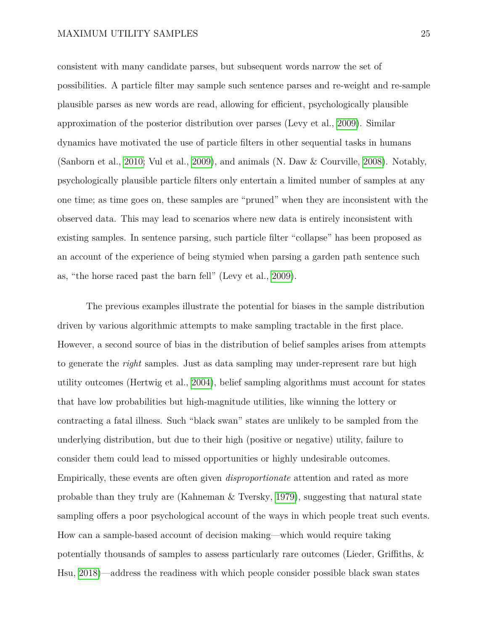consistent with many candidate parses, but subsequent words narrow the set of possibilities. A particle filter may sample such sentence parses and re-weight and re-sample plausible parses as new words are read, allowing for efficient, psychologically plausible approximation of the posterior distribution over parses (Levy et al., [2009\)](#page-43-6). Similar dynamics have motivated the use of particle filters in other sequential tasks in humans (Sanborn et al., [2010;](#page-45-7) Vul et al., [2009\)](#page-46-8), and animals (N. Daw & Courville, [2008\)](#page-39-10). Notably, psychologically plausible particle filters only entertain a limited number of samples at any one time; as time goes on, these samples are "pruned" when they are inconsistent with the observed data. This may lead to scenarios where new data is entirely inconsistent with existing samples. In sentence parsing, such particle filter "collapse" has been proposed as an account of the experience of being stymied when parsing a garden path sentence such as, "the horse raced past the barn fell" (Levy et al., [2009\)](#page-43-6).

The previous examples illustrate the potential for biases in the sample distribution driven by various algorithmic attempts to make sampling tractable in the first place. However, a second source of bias in the distribution of belief samples arises from attempts to generate the *right* samples. Just as data sampling may under-represent rare but high utility outcomes (Hertwig et al., [2004\)](#page-41-3), belief sampling algorithms must account for states that have low probabilities but high-magnitude utilities, like winning the lottery or contracting a fatal illness. Such "black swan" states are unlikely to be sampled from the underlying distribution, but due to their high (positive or negative) utility, failure to consider them could lead to missed opportunities or highly undesirable outcomes. Empirically, these events are often given *disproportionate* attention and rated as more probable than they truly are (Kahneman & Tversky, [1979\)](#page-42-6), suggesting that natural state sampling offers a poor psychological account of the ways in which people treat such events. How can a sample-based account of decision making—which would require taking potentially thousands of samples to assess particularly rare outcomes (Lieder, Griffiths, & Hsu, [2018\)](#page-43-1)—address the readiness with which people consider possible black swan states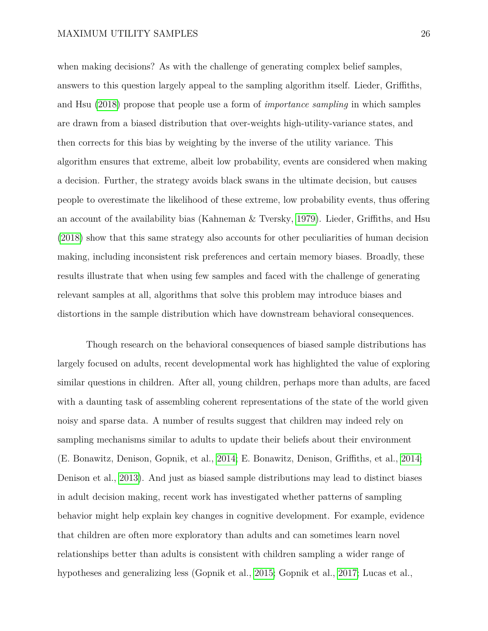when making decisions? As with the challenge of generating complex belief samples, answers to this question largely appeal to the sampling algorithm itself. Lieder, Griffiths, and Hsu [\(2018\)](#page-43-1) propose that people use a form of *importance sampling* in which samples are drawn from a biased distribution that over-weights high-utility-variance states, and then corrects for this bias by weighting by the inverse of the utility variance. This algorithm ensures that extreme, albeit low probability, events are considered when making a decision. Further, the strategy avoids black swans in the ultimate decision, but causes people to overestimate the likelihood of these extreme, low probability events, thus offering an account of the availability bias (Kahneman & Tversky, [1979\)](#page-42-6). Lieder, Griffiths, and Hsu [\(2018\)](#page-43-1) show that this same strategy also accounts for other peculiarities of human decision making, including inconsistent risk preferences and certain memory biases. Broadly, these results illustrate that when using few samples and faced with the challenge of generating relevant samples at all, algorithms that solve this problem may introduce biases and distortions in the sample distribution which have downstream behavioral consequences.

Though research on the behavioral consequences of biased sample distributions has largely focused on adults, recent developmental work has highlighted the value of exploring similar questions in children. After all, young children, perhaps more than adults, are faced with a daunting task of assembling coherent representations of the state of the world given noisy and sparse data. A number of results suggest that children may indeed rely on sampling mechanisms similar to adults to update their beliefs about their environment (E. Bonawitz, Denison, Gopnik, et al., [2014;](#page-38-2) E. Bonawitz, Denison, Griffiths, et al., [2014;](#page-38-7) Denison et al., [2013\)](#page-39-11). And just as biased sample distributions may lead to distinct biases in adult decision making, recent work has investigated whether patterns of sampling behavior might help explain key changes in cognitive development. For example, evidence that children are often more exploratory than adults and can sometimes learn novel relationships better than adults is consistent with children sampling a wider range of hypotheses and generalizing less (Gopnik et al., [2015;](#page-41-6) Gopnik et al., [2017;](#page-41-7) Lucas et al.,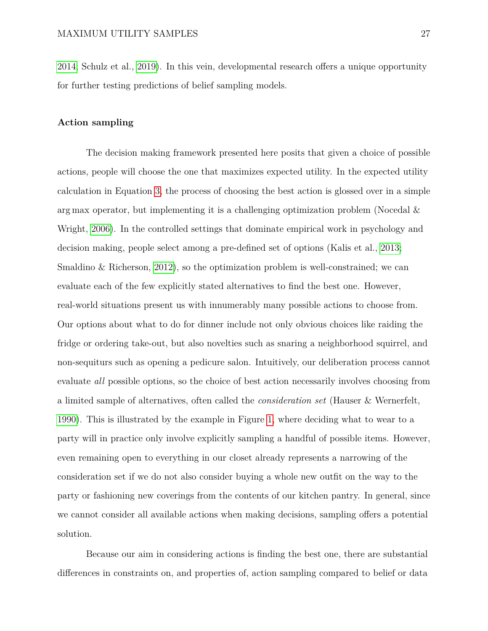[2014;](#page-44-5) Schulz et al., [2019\)](#page-45-10). In this vein, developmental research offers a unique opportunity for further testing predictions of belief sampling models.

# **Action sampling**

The decision making framework presented here posits that given a choice of possible actions, people will choose the one that maximizes expected utility. In the expected utility calculation in Equation [3,](#page-5-0) the process of choosing the best action is glossed over in a simple arg max operator, but implementing it is a challenging optimization problem (Nocedal  $\&$ Wright, [2006\)](#page-44-6). In the controlled settings that dominate empirical work in psychology and decision making, people select among a pre-defined set of options (Kalis et al., [2013;](#page-42-7) Smaldino  $\&$  Richerson, [2012\)](#page-45-11), so the optimization problem is well-constrained; we can evaluate each of the few explicitly stated alternatives to find the best one. However, real-world situations present us with innumerably many possible actions to choose from. Our options about what to do for dinner include not only obvious choices like raiding the fridge or ordering take-out, but also novelties such as snaring a neighborhood squirrel, and non-sequiturs such as opening a pedicure salon. Intuitively, our deliberation process cannot evaluate *all* possible options, so the choice of best action necessarily involves choosing from a limited sample of alternatives, often called the *consideration set* (Hauser & Wernerfelt, [1990\)](#page-41-8). This is illustrated by the example in Figure [1,](#page-9-0) where deciding what to wear to a party will in practice only involve explicitly sampling a handful of possible items. However, even remaining open to everything in our closet already represents a narrowing of the consideration set if we do not also consider buying a whole new outfit on the way to the party or fashioning new coverings from the contents of our kitchen pantry. In general, since we cannot consider all available actions when making decisions, sampling offers a potential solution.

Because our aim in considering actions is finding the best one, there are substantial differences in constraints on, and properties of, action sampling compared to belief or data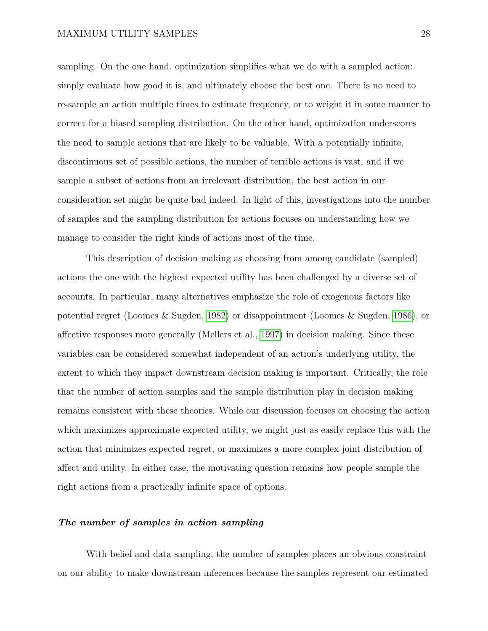sampling. On the one hand, optimization simplifies what we do with a sampled action: simply evaluate how good it is, and ultimately choose the best one. There is no need to re-sample an action multiple times to estimate frequency, or to weight it in some manner to correct for a biased sampling distribution. On the other hand, optimization underscores the need to sample actions that are likely to be valuable. With a potentially infinite, discontinuous set of possible actions, the number of terrible actions is vast, and if we sample a subset of actions from an irrelevant distribution, the best action in our consideration set might be quite bad indeed. In light of this, investigations into the number of samples and the sampling distribution for actions focuses on understanding how we manage to consider the right kinds of actions most of the time.

This description of decision making as choosing from among candidate (sampled) actions the one with the highest expected utility has been challenged by a diverse set of accounts. In particular, many alternatives emphasize the role of exogenous factors like potential regret (Loomes & Sugden, [1982\)](#page-44-7) or disappointment (Loomes & Sugden, [1986\)](#page-44-8), or affective responses more generally (Mellers et al., [1997\)](#page-44-9) in decision making. Since these variables can be considered somewhat independent of an action's underlying utility, the extent to which they impact downstream decision making is important. Critically, the role that the number of action samples and the sample distribution play in decision making remains consistent with these theories. While our discussion focuses on choosing the action which maximizes approximate expected utility, we might just as easily replace this with the action that minimizes expected regret, or maximizes a more complex joint distribution of affect and utility. In either case, the motivating question remains how people sample the right actions from a practically infinite space of options.

### *The number of samples in action sampling*

With belief and data sampling, the number of samples places an obvious constraint on our ability to make downstream inferences because the samples represent our estimated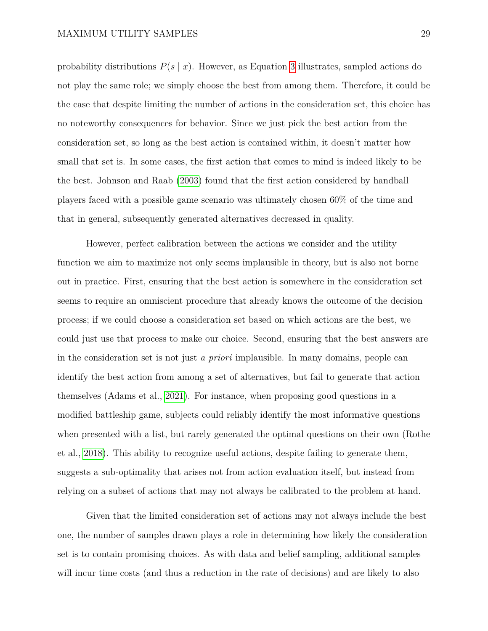probability distributions  $P(s | x)$ . However, as Equation [3](#page-5-0) illustrates, sampled actions do not play the same role; we simply choose the best from among them. Therefore, it could be the case that despite limiting the number of actions in the consideration set, this choice has no noteworthy consequences for behavior. Since we just pick the best action from the consideration set, so long as the best action is contained within, it doesn't matter how small that set is. In some cases, the first action that comes to mind is indeed likely to be the best. Johnson and Raab [\(2003\)](#page-42-8) found that the first action considered by handball players faced with a possible game scenario was ultimately chosen 60% of the time and that in general, subsequently generated alternatives decreased in quality.

However, perfect calibration between the actions we consider and the utility function we aim to maximize not only seems implausible in theory, but is also not borne out in practice. First, ensuring that the best action is somewhere in the consideration set seems to require an omniscient procedure that already knows the outcome of the decision process; if we could choose a consideration set based on which actions are the best, we could just use that process to make our choice. Second, ensuring that the best answers are in the consideration set is not just *a priori* implausible. In many domains, people can identify the best action from among a set of alternatives, but fail to generate that action themselves (Adams et al., [2021\)](#page-38-8). For instance, when proposing good questions in a modified battleship game, subjects could reliably identify the most informative questions when presented with a list, but rarely generated the optimal questions on their own (Rothe et al., [2018\)](#page-45-6). This ability to recognize useful actions, despite failing to generate them, suggests a sub-optimality that arises not from action evaluation itself, but instead from relying on a subset of actions that may not always be calibrated to the problem at hand.

Given that the limited consideration set of actions may not always include the best one, the number of samples drawn plays a role in determining how likely the consideration set is to contain promising choices. As with data and belief sampling, additional samples will incur time costs (and thus a reduction in the rate of decisions) and are likely to also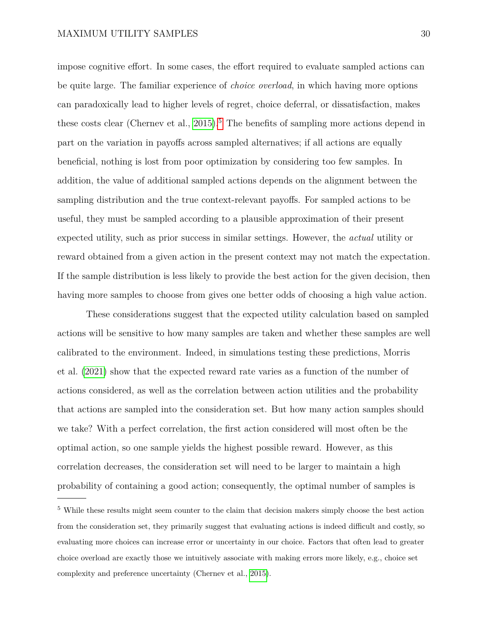impose cognitive effort. In some cases, the effort required to evaluate sampled actions can be quite large. The familiar experience of *choice overload*, in which having more options can paradoxically lead to higher levels of regret, choice deferral, or dissatisfaction, makes these costs clear (Chernev et al.,  $2015$  $2015$ ).<sup>5</sup> The benefits of sampling more actions depend in part on the variation in payoffs across sampled alternatives; if all actions are equally beneficial, nothing is lost from poor optimization by considering too few samples. In addition, the value of additional sampled actions depends on the alignment between the sampling distribution and the true context-relevant payoffs. For sampled actions to be useful, they must be sampled according to a plausible approximation of their present expected utility, such as prior success in similar settings. However, the *actual* utility or reward obtained from a given action in the present context may not match the expectation. If the sample distribution is less likely to provide the best action for the given decision, then having more samples to choose from gives one better odds of choosing a high value action.

These considerations suggest that the expected utility calculation based on sampled actions will be sensitive to how many samples are taken and whether these samples are well calibrated to the environment. Indeed, in simulations testing these predictions, Morris et al. [\(2021\)](#page-44-10) show that the expected reward rate varies as a function of the number of actions considered, as well as the correlation between action utilities and the probability that actions are sampled into the consideration set. But how many action samples should we take? With a perfect correlation, the first action considered will most often be the optimal action, so one sample yields the highest possible reward. However, as this correlation decreases, the consideration set will need to be larger to maintain a high probability of containing a good action; consequently, the optimal number of samples is

<span id="page-29-0"></span><sup>5</sup> While these results might seem counter to the claim that decision makers simply choose the best action from the consideration set, they primarily suggest that evaluating actions is indeed difficult and costly, so evaluating more choices can increase error or uncertainty in our choice. Factors that often lead to greater choice overload are exactly those we intuitively associate with making errors more likely, e.g., choice set complexity and preference uncertainty (Chernev et al., [2015\)](#page-39-12).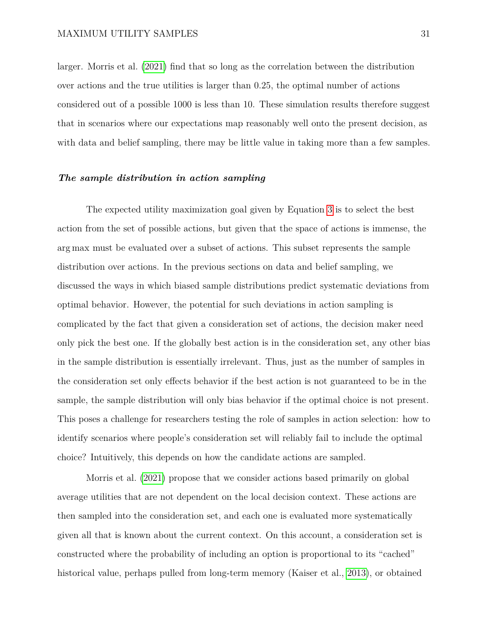larger. Morris et al. [\(2021\)](#page-44-10) find that so long as the correlation between the distribution over actions and the true utilities is larger than 0.25, the optimal number of actions considered out of a possible 1000 is less than 10. These simulation results therefore suggest that in scenarios where our expectations map reasonably well onto the present decision, as with data and belief sampling, there may be little value in taking more than a few samples.

#### *The sample distribution in action sampling*

The expected utility maximization goal given by Equation [3](#page-5-0) is to select the best action from the set of possible actions, but given that the space of actions is immense, the arg max must be evaluated over a subset of actions. This subset represents the sample distribution over actions. In the previous sections on data and belief sampling, we discussed the ways in which biased sample distributions predict systematic deviations from optimal behavior. However, the potential for such deviations in action sampling is complicated by the fact that given a consideration set of actions, the decision maker need only pick the best one. If the globally best action is in the consideration set, any other bias in the sample distribution is essentially irrelevant. Thus, just as the number of samples in the consideration set only effects behavior if the best action is not guaranteed to be in the sample, the sample distribution will only bias behavior if the optimal choice is not present. This poses a challenge for researchers testing the role of samples in action selection: how to identify scenarios where people's consideration set will reliably fail to include the optimal choice? Intuitively, this depends on how the candidate actions are sampled.

Morris et al. [\(2021\)](#page-44-10) propose that we consider actions based primarily on global average utilities that are not dependent on the local decision context. These actions are then sampled into the consideration set, and each one is evaluated more systematically given all that is known about the current context. On this account, a consideration set is constructed where the probability of including an option is proportional to its "cached" historical value, perhaps pulled from long-term memory (Kaiser et al., [2013\)](#page-42-9), or obtained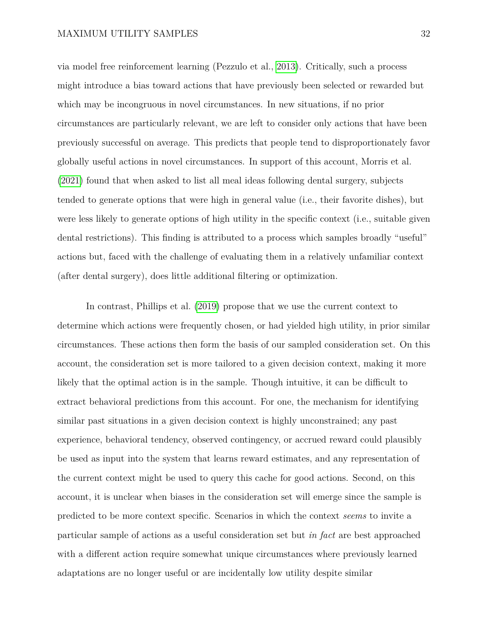via model free reinforcement learning (Pezzulo et al., [2013\)](#page-44-11). Critically, such a process might introduce a bias toward actions that have previously been selected or rewarded but which may be incongruous in novel circumstances. In new situations, if no prior circumstances are particularly relevant, we are left to consider only actions that have been previously successful on average. This predicts that people tend to disproportionately favor globally useful actions in novel circumstances. In support of this account, Morris et al. [\(2021\)](#page-44-10) found that when asked to list all meal ideas following dental surgery, subjects tended to generate options that were high in general value (i.e., their favorite dishes), but were less likely to generate options of high utility in the specific context (i.e., suitable given dental restrictions). This finding is attributed to a process which samples broadly "useful" actions but, faced with the challenge of evaluating them in a relatively unfamiliar context (after dental surgery), does little additional filtering or optimization.

In contrast, Phillips et al. [\(2019\)](#page-45-0) propose that we use the current context to determine which actions were frequently chosen, or had yielded high utility, in prior similar circumstances. These actions then form the basis of our sampled consideration set. On this account, the consideration set is more tailored to a given decision context, making it more likely that the optimal action is in the sample. Though intuitive, it can be difficult to extract behavioral predictions from this account. For one, the mechanism for identifying similar past situations in a given decision context is highly unconstrained; any past experience, behavioral tendency, observed contingency, or accrued reward could plausibly be used as input into the system that learns reward estimates, and any representation of the current context might be used to query this cache for good actions. Second, on this account, it is unclear when biases in the consideration set will emerge since the sample is predicted to be more context specific. Scenarios in which the context *seems* to invite a particular sample of actions as a useful consideration set but *in fact* are best approached with a different action require somewhat unique circumstances where previously learned adaptations are no longer useful or are incidentally low utility despite similar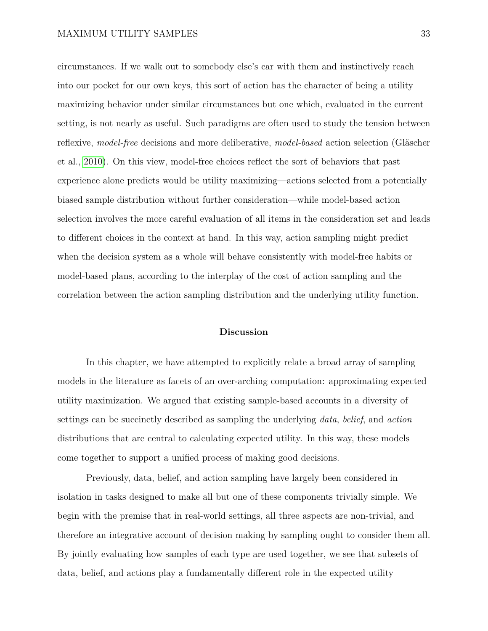circumstances. If we walk out to somebody else's car with them and instinctively reach into our pocket for our own keys, this sort of action has the character of being a utility maximizing behavior under similar circumstances but one which, evaluated in the current setting, is not nearly as useful. Such paradigms are often used to study the tension between reflexive, *model-free* decisions and more deliberative, *model-based* action selection (Gläscher et al., [2010\)](#page-41-9). On this view, model-free choices reflect the sort of behaviors that past experience alone predicts would be utility maximizing—actions selected from a potentially biased sample distribution without further consideration—while model-based action selection involves the more careful evaluation of all items in the consideration set and leads to different choices in the context at hand. In this way, action sampling might predict when the decision system as a whole will behave consistently with model-free habits or model-based plans, according to the interplay of the cost of action sampling and the correlation between the action sampling distribution and the underlying utility function.

### **Discussion**

In this chapter, we have attempted to explicitly relate a broad array of sampling models in the literature as facets of an over-arching computation: approximating expected utility maximization. We argued that existing sample-based accounts in a diversity of settings can be succinctly described as sampling the underlying *data*, *belief*, and *action* distributions that are central to calculating expected utility. In this way, these models come together to support a unified process of making good decisions.

Previously, data, belief, and action sampling have largely been considered in isolation in tasks designed to make all but one of these components trivially simple. We begin with the premise that in real-world settings, all three aspects are non-trivial, and therefore an integrative account of decision making by sampling ought to consider them all. By jointly evaluating how samples of each type are used together, we see that subsets of data, belief, and actions play a fundamentally different role in the expected utility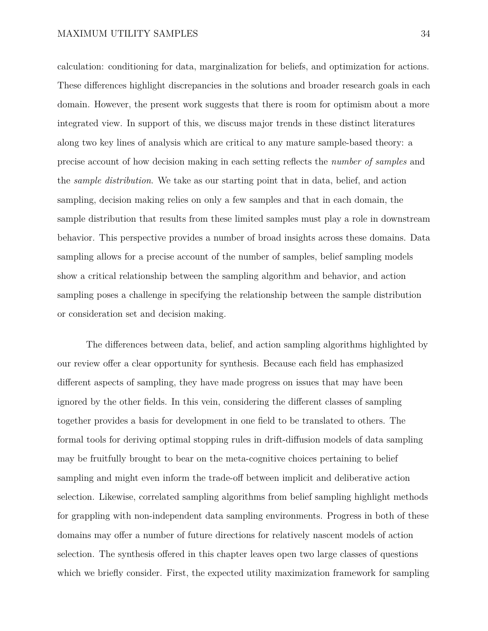calculation: conditioning for data, marginalization for beliefs, and optimization for actions. These differences highlight discrepancies in the solutions and broader research goals in each domain. However, the present work suggests that there is room for optimism about a more integrated view. In support of this, we discuss major trends in these distinct literatures along two key lines of analysis which are critical to any mature sample-based theory: a precise account of how decision making in each setting reflects the *number of samples* and the *sample distribution*. We take as our starting point that in data, belief, and action sampling, decision making relies on only a few samples and that in each domain, the sample distribution that results from these limited samples must play a role in downstream behavior. This perspective provides a number of broad insights across these domains. Data sampling allows for a precise account of the number of samples, belief sampling models show a critical relationship between the sampling algorithm and behavior, and action sampling poses a challenge in specifying the relationship between the sample distribution or consideration set and decision making.

The differences between data, belief, and action sampling algorithms highlighted by our review offer a clear opportunity for synthesis. Because each field has emphasized different aspects of sampling, they have made progress on issues that may have been ignored by the other fields. In this vein, considering the different classes of sampling together provides a basis for development in one field to be translated to others. The formal tools for deriving optimal stopping rules in drift-diffusion models of data sampling may be fruitfully brought to bear on the meta-cognitive choices pertaining to belief sampling and might even inform the trade-off between implicit and deliberative action selection. Likewise, correlated sampling algorithms from belief sampling highlight methods for grappling with non-independent data sampling environments. Progress in both of these domains may offer a number of future directions for relatively nascent models of action selection. The synthesis offered in this chapter leaves open two large classes of questions which we briefly consider. First, the expected utility maximization framework for sampling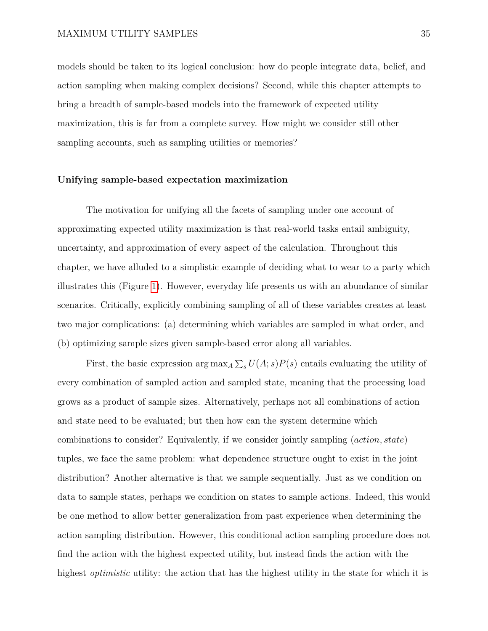models should be taken to its logical conclusion: how do people integrate data, belief, and action sampling when making complex decisions? Second, while this chapter attempts to bring a breadth of sample-based models into the framework of expected utility maximization, this is far from a complete survey. How might we consider still other sampling accounts, such as sampling utilities or memories?

### **Unifying sample-based expectation maximization**

The motivation for unifying all the facets of sampling under one account of approximating expected utility maximization is that real-world tasks entail ambiguity, uncertainty, and approximation of every aspect of the calculation. Throughout this chapter, we have alluded to a simplistic example of deciding what to wear to a party which illustrates this (Figure [1\)](#page-9-0). However, everyday life presents us with an abundance of similar scenarios. Critically, explicitly combining sampling of all of these variables creates at least two major complications: (a) determining which variables are sampled in what order, and (b) optimizing sample sizes given sample-based error along all variables.

First, the basic expression  $\arg \max_{A} \sum_{s} U(A; s)P(s)$  entails evaluating the utility of every combination of sampled action and sampled state, meaning that the processing load grows as a product of sample sizes. Alternatively, perhaps not all combinations of action and state need to be evaluated; but then how can the system determine which combinations to consider? Equivalently, if we consider jointly sampling (*action, state*) tuples, we face the same problem: what dependence structure ought to exist in the joint distribution? Another alternative is that we sample sequentially. Just as we condition on data to sample states, perhaps we condition on states to sample actions. Indeed, this would be one method to allow better generalization from past experience when determining the action sampling distribution. However, this conditional action sampling procedure does not find the action with the highest expected utility, but instead finds the action with the highest *optimistic* utility: the action that has the highest utility in the state for which it is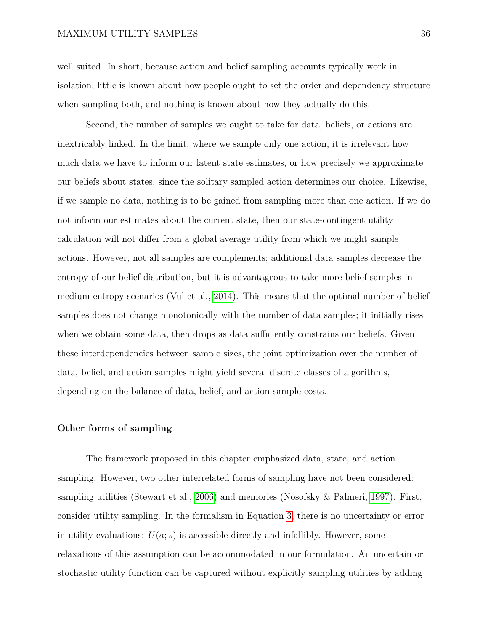well suited. In short, because action and belief sampling accounts typically work in isolation, little is known about how people ought to set the order and dependency structure when sampling both, and nothing is known about how they actually do this.

Second, the number of samples we ought to take for data, beliefs, or actions are inextricably linked. In the limit, where we sample only one action, it is irrelevant how much data we have to inform our latent state estimates, or how precisely we approximate our beliefs about states, since the solitary sampled action determines our choice. Likewise, if we sample no data, nothing is to be gained from sampling more than one action. If we do not inform our estimates about the current state, then our state-contingent utility calculation will not differ from a global average utility from which we might sample actions. However, not all samples are complements; additional data samples decrease the entropy of our belief distribution, but it is advantageous to take more belief samples in medium entropy scenarios (Vul et al., [2014\)](#page-46-3). This means that the optimal number of belief samples does not change monotonically with the number of data samples; it initially rises when we obtain some data, then drops as data sufficiently constrains our beliefs. Given these interdependencies between sample sizes, the joint optimization over the number of data, belief, and action samples might yield several discrete classes of algorithms, depending on the balance of data, belief, and action sample costs.

### **Other forms of sampling**

The framework proposed in this chapter emphasized data, state, and action sampling. However, two other interrelated forms of sampling have not been considered: sampling utilities (Stewart et al., [2006\)](#page-46-11) and memories (Nosofsky & Palmeri, [1997\)](#page-44-0). First, consider utility sampling. In the formalism in Equation [3,](#page-5-0) there is no uncertainty or error in utility evaluations:  $U(a; s)$  is accessible directly and infallibly. However, some relaxations of this assumption can be accommodated in our formulation. An uncertain or stochastic utility function can be captured without explicitly sampling utilities by adding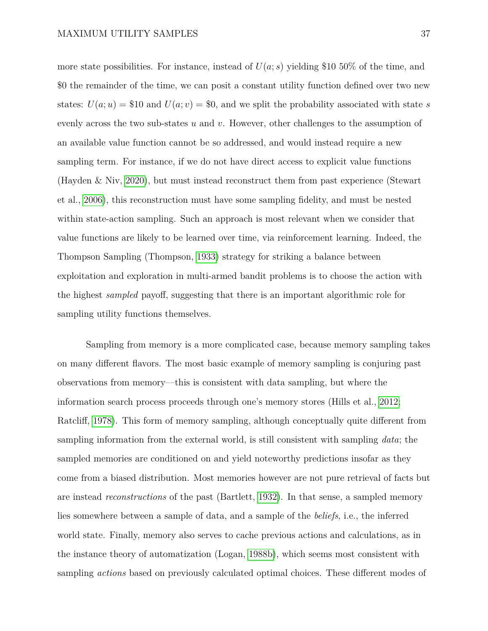more state possibilities. For instance, instead of  $U(a; s)$  yielding \$10 50% of the time, and \$0 the remainder of the time, we can posit a constant utility function defined over two new states:  $U(a; u) = $10$  and  $U(a; v) = $0$ , and we split the probability associated with state *s* evenly across the two sub-states *u* and *v*. However, other challenges to the assumption of an available value function cannot be so addressed, and would instead require a new sampling term. For instance, if we do not have direct access to explicit value functions (Hayden & Niv, [2020\)](#page-41-10), but must instead reconstruct them from past experience (Stewart et al., [2006\)](#page-46-11), this reconstruction must have some sampling fidelity, and must be nested within state-action sampling. Such an approach is most relevant when we consider that value functions are likely to be learned over time, via reinforcement learning. Indeed, the Thompson Sampling (Thompson, [1933\)](#page-46-12) strategy for striking a balance between exploitation and exploration in multi-armed bandit problems is to choose the action with the highest *sampled* payoff, suggesting that there is an important algorithmic role for sampling utility functions themselves.

Sampling from memory is a more complicated case, because memory sampling takes on many different flavors. The most basic example of memory sampling is conjuring past observations from memory—this is consistent with data sampling, but where the information search process proceeds through one's memory stores (Hills et al., [2012;](#page-42-10) Ratcliff, [1978\)](#page-45-12). This form of memory sampling, although conceptually quite different from sampling information from the external world, is still consistent with sampling *data*; the sampled memories are conditioned on and yield noteworthy predictions insofar as they come from a biased distribution. Most memories however are not pure retrieval of facts but are instead *reconstructions* of the past (Bartlett, [1932\)](#page-38-9). In that sense, a sampled memory lies somewhere between a sample of data, and a sample of the *beliefs*, i.e., the inferred world state. Finally, memory also serves to cache previous actions and calculations, as in the instance theory of automatization (Logan, [1988b\)](#page-43-10), which seems most consistent with sampling *actions* based on previously calculated optimal choices. These different modes of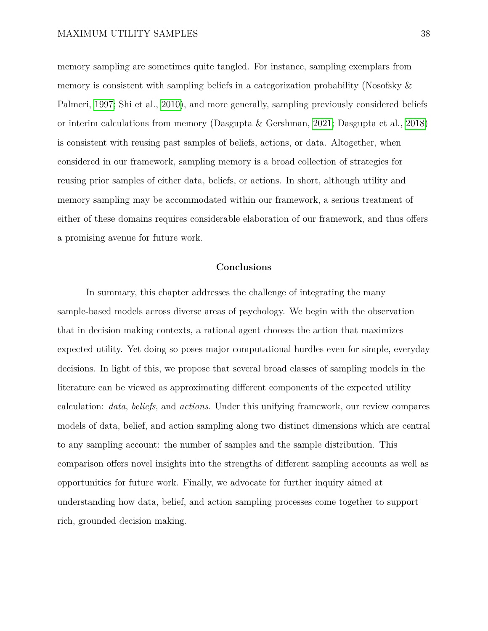memory sampling are sometimes quite tangled. For instance, sampling exemplars from memory is consistent with sampling beliefs in a categorization probability (Nosofsky & Palmeri, [1997;](#page-44-0) Shi et al., [2010\)](#page-45-8), and more generally, sampling previously considered beliefs or interim calculations from memory (Dasgupta & Gershman, [2021;](#page-39-7) Dasgupta et al., [2018\)](#page-39-8) is consistent with reusing past samples of beliefs, actions, or data. Altogether, when considered in our framework, sampling memory is a broad collection of strategies for reusing prior samples of either data, beliefs, or actions. In short, although utility and memory sampling may be accommodated within our framework, a serious treatment of either of these domains requires considerable elaboration of our framework, and thus offers a promising avenue for future work.

### **Conclusions**

In summary, this chapter addresses the challenge of integrating the many sample-based models across diverse areas of psychology. We begin with the observation that in decision making contexts, a rational agent chooses the action that maximizes expected utility. Yet doing so poses major computational hurdles even for simple, everyday decisions. In light of this, we propose that several broad classes of sampling models in the literature can be viewed as approximating different components of the expected utility calculation: *data*, *beliefs*, and *actions*. Under this unifying framework, our review compares models of data, belief, and action sampling along two distinct dimensions which are central to any sampling account: the number of samples and the sample distribution. This comparison offers novel insights into the strengths of different sampling accounts as well as opportunities for future work. Finally, we advocate for further inquiry aimed at understanding how data, belief, and action sampling processes come together to support rich, grounded decision making.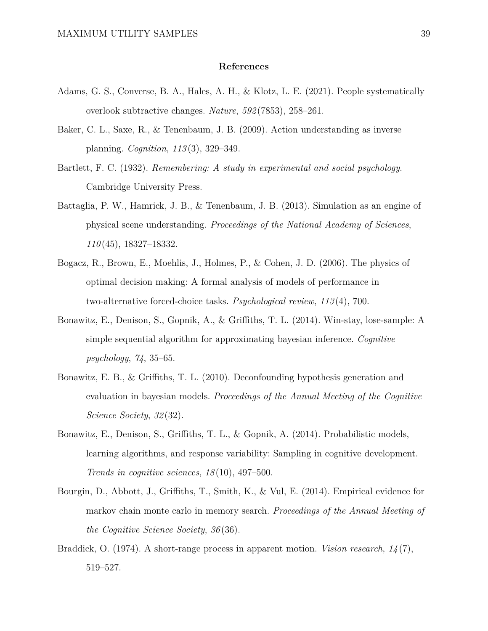#### **References**

- <span id="page-38-8"></span>Adams, G. S., Converse, B. A., Hales, A. H., & Klotz, L. E. (2021). People systematically overlook subtractive changes. *Nature*, *592* (7853), 258–261.
- <span id="page-38-5"></span>Baker, C. L., Saxe, R., & Tenenbaum, J. B. (2009). Action understanding as inverse planning. *Cognition*, *113* (3), 329–349.
- <span id="page-38-9"></span>Bartlett, F. C. (1932). *Remembering: A study in experimental and social psychology*. Cambridge University Press.
- <span id="page-38-3"></span>Battaglia, P. W., Hamrick, J. B., & Tenenbaum, J. B. (2013). Simulation as an engine of physical scene understanding. *Proceedings of the National Academy of Sciences*, *110* (45), 18327–18332.
- <span id="page-38-1"></span>Bogacz, R., Brown, E., Moehlis, J., Holmes, P., & Cohen, J. D. (2006). The physics of optimal decision making: A formal analysis of models of performance in two-alternative forced-choice tasks. *Psychological review*, *113* (4), 700.
- <span id="page-38-2"></span>Bonawitz, E., Denison, S., Gopnik, A., & Griffiths, T. L. (2014). Win-stay, lose-sample: A simple sequential algorithm for approximating bayesian inference. *Cognitive psychology*, *74*, 35–65.
- <span id="page-38-4"></span>Bonawitz, E. B., & Griffiths, T. L. (2010). Deconfounding hypothesis generation and evaluation in bayesian models. *Proceedings of the Annual Meeting of the Cognitive Science Society*, *32* (32).
- <span id="page-38-7"></span>Bonawitz, E., Denison, S., Griffiths, T. L., & Gopnik, A. (2014). Probabilistic models, learning algorithms, and response variability: Sampling in cognitive development. *Trends in cognitive sciences*, *18* (10), 497–500.
- <span id="page-38-6"></span>Bourgin, D., Abbott, J., Griffiths, T., Smith, K., & Vul, E. (2014). Empirical evidence for markov chain monte carlo in memory search. *Proceedings of the Annual Meeting of the Cognitive Science Society*, *36* (36).
- <span id="page-38-0"></span>Braddick, O. (1974). A short-range process in apparent motion. *Vision research*, *14* (7), 519–527.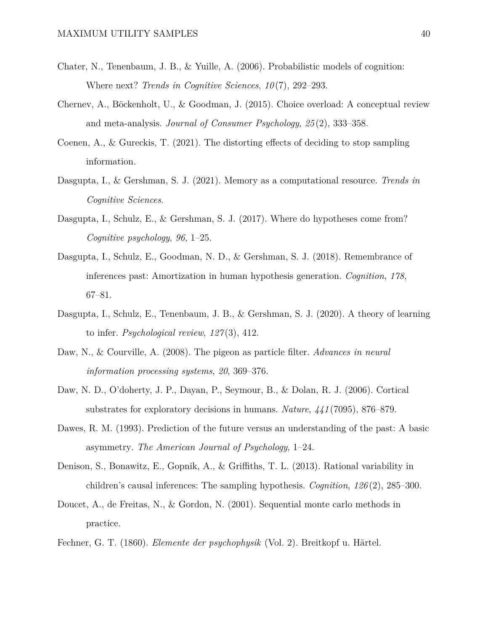- <span id="page-39-5"></span>Chater, N., Tenenbaum, J. B., & Yuille, A. (2006). Probabilistic models of cognition: Where next? *Trends in Cognitive Sciences*, *10* (7), 292–293.
- <span id="page-39-12"></span>Chernev, A., Böckenholt, U., & Goodman, J. (2015). Choice overload: A conceptual review and meta-analysis. *Journal of Consumer Psychology*, *25* (2), 333–358.
- <span id="page-39-3"></span>Coenen, A., & Gureckis, T. (2021). The distorting effects of deciding to stop sampling information.
- <span id="page-39-7"></span>Dasgupta, I., & Gershman, S. J. (2021). Memory as a computational resource. *Trends in Cognitive Sciences*.
- <span id="page-39-6"></span>Dasgupta, I., Schulz, E., & Gershman, S. J. (2017). Where do hypotheses come from? *Cognitive psychology*, *96*, 1–25.
- <span id="page-39-8"></span>Dasgupta, I., Schulz, E., Goodman, N. D., & Gershman, S. J. (2018). Remembrance of inferences past: Amortization in human hypothesis generation. *Cognition*, *178*, 67–81.
- <span id="page-39-9"></span>Dasgupta, I., Schulz, E., Tenenbaum, J. B., & Gershman, S. J. (2020). A theory of learning to infer. *Psychological review*, *127* (3), 412.
- <span id="page-39-10"></span>Daw, N., & Courville, A. (2008). The pigeon as particle filter. *Advances in neural information processing systems*, *20*, 369–376.
- <span id="page-39-2"></span>Daw, N. D., O'doherty, J. P., Dayan, P., Seymour, B., & Dolan, R. J. (2006). Cortical substrates for exploratory decisions in humans. *Nature*, *441* (7095), 876–879.
- <span id="page-39-4"></span>Dawes, R. M. (1993). Prediction of the future versus an understanding of the past: A basic asymmetry. *The American Journal of Psychology*, 1–24.
- <span id="page-39-11"></span>Denison, S., Bonawitz, E., Gopnik, A., & Griffiths, T. L. (2013). Rational variability in children's causal inferences: The sampling hypothesis. *Cognition*, *126* (2), 285–300.
- <span id="page-39-0"></span>Doucet, A., de Freitas, N., & Gordon, N. (2001). Sequential monte carlo methods in practice.
- <span id="page-39-1"></span>Fechner, G. T. (1860). *Elemente der psychophysik* (Vol. 2). Breitkopf u. Härtel.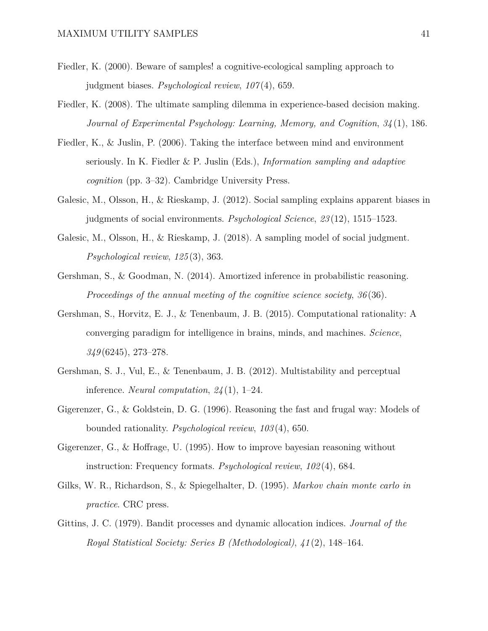- <span id="page-40-1"></span>Fiedler, K. (2000). Beware of samples! a cognitive-ecological sampling approach to judgment biases. *Psychological review*, *107* (4), 659.
- <span id="page-40-3"></span>Fiedler, K. (2008). The ultimate sampling dilemma in experience-based decision making. *Journal of Experimental Psychology: Learning, Memory, and Cognition*, *34* (1), 186.
- <span id="page-40-0"></span>Fiedler, K., & Juslin, P. (2006). Taking the interface between mind and environment seriously. In K. Fiedler & P. Juslin (Eds.), *Information sampling and adaptive cognition* (pp. 3–32). Cambridge University Press.
- <span id="page-40-5"></span>Galesic, M., Olsson, H., & Rieskamp, J. (2012). Social sampling explains apparent biases in judgments of social environments. *Psychological Science*, *23* (12), 1515–1523.
- <span id="page-40-6"></span>Galesic, M., Olsson, H., & Rieskamp, J. (2018). A sampling model of social judgment. *Psychological review*, *125* (3), 363.
- <span id="page-40-9"></span>Gershman, S., & Goodman, N. (2014). Amortized inference in probabilistic reasoning. *Proceedings of the annual meeting of the cognitive science society*, *36* (36).
- <span id="page-40-2"></span>Gershman, S., Horvitz, E. J., & Tenenbaum, J. B. (2015). Computational rationality: A converging paradigm for intelligence in brains, minds, and machines. *Science*, *349* (6245), 273–278.
- <span id="page-40-11"></span>Gershman, S. J., Vul, E., & Tenenbaum, J. B. (2012). Multistability and perceptual inference. *Neural computation*, *24* (1), 1–24.
- <span id="page-40-8"></span>Gigerenzer, G., & Goldstein, D. G. (1996). Reasoning the fast and frugal way: Models of bounded rationality. *Psychological review*, *103* (4), 650.
- <span id="page-40-4"></span>Gigerenzer, G., & Hoffrage, U. (1995). How to improve bayesian reasoning without instruction: Frequency formats. *Psychological review*, *102* (4), 684.
- <span id="page-40-10"></span>Gilks, W. R., Richardson, S., & Spiegelhalter, D. (1995). *Markov chain monte carlo in practice*. CRC press.
- <span id="page-40-7"></span>Gittins, J. C. (1979). Bandit processes and dynamic allocation indices. *Journal of the Royal Statistical Society: Series B (Methodological)*, *41* (2), 148–164.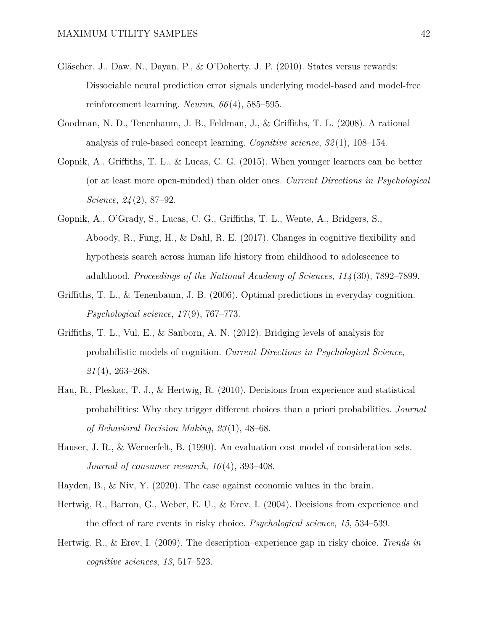- <span id="page-41-9"></span>Gläscher, J., Daw, N., Dayan, P., & O'Doherty, J. P. (2010). States versus rewards: Dissociable neural prediction error signals underlying model-based and model-free reinforcement learning. *Neuron*, *66* (4), 585–595.
- <span id="page-41-4"></span>Goodman, N. D., Tenenbaum, J. B., Feldman, J., & Griffiths, T. L. (2008). A rational analysis of rule-based concept learning. *Cognitive science*, *32* (1), 108–154.
- <span id="page-41-6"></span>Gopnik, A., Griffiths, T. L., & Lucas, C. G. (2015). When younger learners can be better (or at least more open-minded) than older ones. *Current Directions in Psychological Science*, *24* (2), 87–92.
- <span id="page-41-7"></span>Gopnik, A., O'Grady, S., Lucas, C. G., Griffiths, T. L., Wente, A., Bridgers, S., Aboody, R., Fung, H., & Dahl, R. E. (2017). Changes in cognitive flexibility and hypothesis search across human life history from childhood to adolescence to adulthood. *Proceedings of the National Academy of Sciences*, *114* (30), 7892–7899.
- <span id="page-41-5"></span>Griffiths, T. L., & Tenenbaum, J. B. (2006). Optimal predictions in everyday cognition. *Psychological science*, *17* (9), 767–773.
- <span id="page-41-0"></span>Griffiths, T. L., Vul, E., & Sanborn, A. N. (2012). Bridging levels of analysis for probabilistic models of cognition. *Current Directions in Psychological Science*, *21* (4), 263–268.
- <span id="page-41-2"></span>Hau, R., Pleskac, T. J., & Hertwig, R. (2010). Decisions from experience and statistical probabilities: Why they trigger different choices than a priori probabilities. *Journal of Behavioral Decision Making*, *23* (1), 48–68.
- <span id="page-41-8"></span>Hauser, J. R., & Wernerfelt, B. (1990). An evaluation cost model of consideration sets. *Journal of consumer research*, *16* (4), 393–408.
- <span id="page-41-10"></span><span id="page-41-3"></span>Hayden, B., & Niv, Y. (2020). The case against economic values in the brain.
- Hertwig, R., Barron, G., Weber, E. U., & Erev, I. (2004). Decisions from experience and the effect of rare events in risky choice. *Psychological science*, *15*, 534–539.
- <span id="page-41-1"></span>Hertwig, R., & Erev, I. (2009). The description–experience gap in risky choice. *Trends in cognitive sciences*, *13*, 517–523.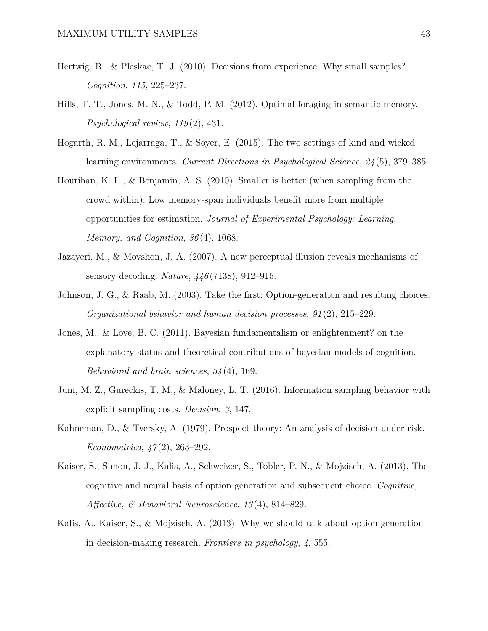- <span id="page-42-2"></span>Hertwig, R., & Pleskac, T. J. (2010). Decisions from experience: Why small samples? *Cognition*, *115*, 225–237.
- <span id="page-42-10"></span>Hills, T. T., Jones, M. N., & Todd, P. M. (2012). Optimal foraging in semantic memory. *Psychological review*, *119* (2), 431.
- <span id="page-42-1"></span>Hogarth, R. M., Lejarraga, T., & Soyer, E. (2015). The two settings of kind and wicked learning environments. *Current Directions in Psychological Science*, *24* (5), 379–385.
- <span id="page-42-5"></span>Hourihan, K. L., & Benjamin, A. S. (2010). Smaller is better (when sampling from the crowd within): Low memory-span individuals benefit more from multiple opportunities for estimation. *Journal of Experimental Psychology: Learning, Memory, and Cognition*, *36* (4), 1068.
- <span id="page-42-3"></span>Jazayeri, M., & Movshon, J. A. (2007). A new perceptual illusion reveals mechanisms of sensory decoding. *Nature*, *446* (7138), 912–915.
- <span id="page-42-8"></span>Johnson, J. G., & Raab, M. (2003). Take the first: Option-generation and resulting choices. *Organizational behavior and human decision processes*, *91* (2), 215–229.
- <span id="page-42-4"></span>Jones, M., & Love, B. C. (2011). Bayesian fundamentalism or enlightenment? on the explanatory status and theoretical contributions of bayesian models of cognition. *Behavioral and brain sciences*, *34* (4), 169.
- <span id="page-42-0"></span>Juni, M. Z., Gureckis, T. M., & Maloney, L. T. (2016). Information sampling behavior with explicit sampling costs. *Decision*, *3*, 147.
- <span id="page-42-6"></span>Kahneman, D., & Tversky, A. (1979). Prospect theory: An analysis of decision under risk. *Econometrica*, *47* (2), 263–292.
- <span id="page-42-9"></span>Kaiser, S., Simon, J. J., Kalis, A., Schweizer, S., Tobler, P. N., & Mojzisch, A. (2013). The cognitive and neural basis of option generation and subsequent choice. *Cognitive, Affective, & Behavioral Neuroscience*, *13* (4), 814–829.
- <span id="page-42-7"></span>Kalis, A., Kaiser, S., & Mojzisch, A. (2013). Why we should talk about option generation in decision-making research. *Frontiers in psychology*, *4*, 555.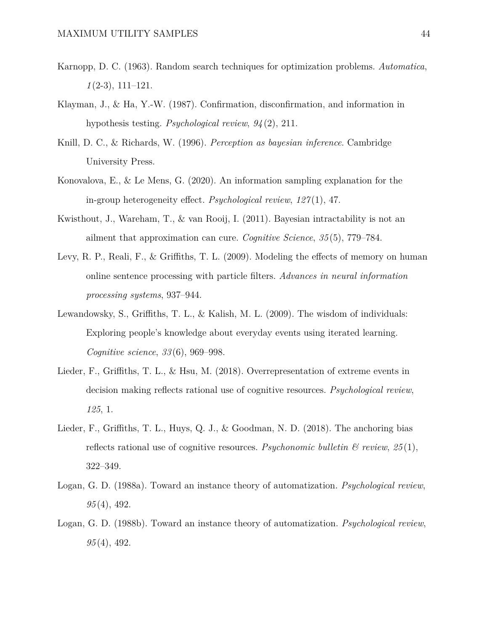- <span id="page-43-0"></span>Karnopp, D. C. (1963). Random search techniques for optimization problems. *Automatica*, *1* (2-3), 111–121.
- <span id="page-43-3"></span>Klayman, J., & Ha, Y.-W. (1987). Confirmation, disconfirmation, and information in hypothesis testing. *Psychological review*, *94* (2), 211.
- <span id="page-43-4"></span>Knill, D. C., & Richards, W. (1996). *Perception as bayesian inference*. Cambridge University Press.
- <span id="page-43-2"></span>Konovalova, E., & Le Mens, G. (2020). An information sampling explanation for the in-group heterogeneity effect. *Psychological review*, *127* (1), 47.
- <span id="page-43-5"></span>Kwisthout, J., Wareham, T., & van Rooij, I. (2011). Bayesian intractability is not an ailment that approximation can cure. *Cognitive Science*, *35* (5), 779–784.
- <span id="page-43-6"></span>Levy, R. P., Reali, F., & Griffiths, T. L. (2009). Modeling the effects of memory on human online sentence processing with particle filters. *Advances in neural information processing systems*, 937–944.
- <span id="page-43-7"></span>Lewandowsky, S., Griffiths, T. L., & Kalish, M. L. (2009). The wisdom of individuals: Exploring people's knowledge about everyday events using iterated learning. *Cognitive science*, *33* (6), 969–998.
- <span id="page-43-1"></span>Lieder, F., Griffiths, T. L., & Hsu, M. (2018). Overrepresentation of extreme events in decision making reflects rational use of cognitive resources. *Psychological review*, *125*, 1.
- <span id="page-43-9"></span>Lieder, F., Griffiths, T. L., Huys, Q. J., & Goodman, N. D. (2018). The anchoring bias reflects rational use of cognitive resources. *Psychonomic bulletin*  $\mathcal{C}$  review,  $25(1)$ , 322–349.
- <span id="page-43-8"></span>Logan, G. D. (1988a). Toward an instance theory of automatization. *Psychological review*, *95* (4), 492.
- <span id="page-43-10"></span>Logan, G. D. (1988b). Toward an instance theory of automatization. *Psychological review*, *95* (4), 492.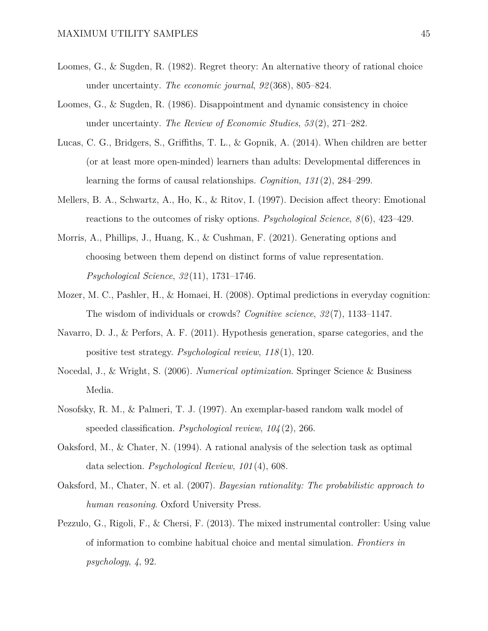- <span id="page-44-7"></span>Loomes, G., & Sugden, R. (1982). Regret theory: An alternative theory of rational choice under uncertainty. *The economic journal*, *92* (368), 805–824.
- <span id="page-44-8"></span>Loomes, G., & Sugden, R. (1986). Disappointment and dynamic consistency in choice under uncertainty. *The Review of Economic Studies*, *53* (2), 271–282.
- <span id="page-44-5"></span>Lucas, C. G., Bridgers, S., Griffiths, T. L., & Gopnik, A. (2014). When children are better (or at least more open-minded) learners than adults: Developmental differences in learning the forms of causal relationships. *Cognition*, *131* (2), 284–299.
- <span id="page-44-9"></span>Mellers, B. A., Schwartz, A., Ho, K., & Ritov, I. (1997). Decision affect theory: Emotional reactions to the outcomes of risky options. *Psychological Science*, *8* (6), 423–429.
- <span id="page-44-10"></span>Morris, A., Phillips, J., Huang, K., & Cushman, F. (2021). Generating options and choosing between them depend on distinct forms of value representation. *Psychological Science*, *32* (11), 1731–1746.
- <span id="page-44-4"></span>Mozer, M. C., Pashler, H., & Homaei, H. (2008). Optimal predictions in everyday cognition: The wisdom of individuals or crowds? *Cognitive science*, *32* (7), 1133–1147.
- <span id="page-44-1"></span>Navarro, D. J., & Perfors, A. F. (2011). Hypothesis generation, sparse categories, and the positive test strategy. *Psychological review*, *118* (1), 120.
- <span id="page-44-6"></span>Nocedal, J., & Wright, S. (2006). *Numerical optimization*. Springer Science & Business Media.
- <span id="page-44-0"></span>Nosofsky, R. M., & Palmeri, T. J. (1997). An exemplar-based random walk model of speeded classification. *Psychological review*, *104* (2), 266.
- <span id="page-44-2"></span>Oaksford, M., & Chater, N. (1994). A rational analysis of the selection task as optimal data selection. *Psychological Review*, *101* (4), 608.
- <span id="page-44-3"></span>Oaksford, M., Chater, N. et al. (2007). *Bayesian rationality: The probabilistic approach to human reasoning*. Oxford University Press.
- <span id="page-44-11"></span>Pezzulo, G., Rigoli, F., & Chersi, F. (2013). The mixed instrumental controller: Using value of information to combine habitual choice and mental simulation. *Frontiers in psychology*, *4*, 92.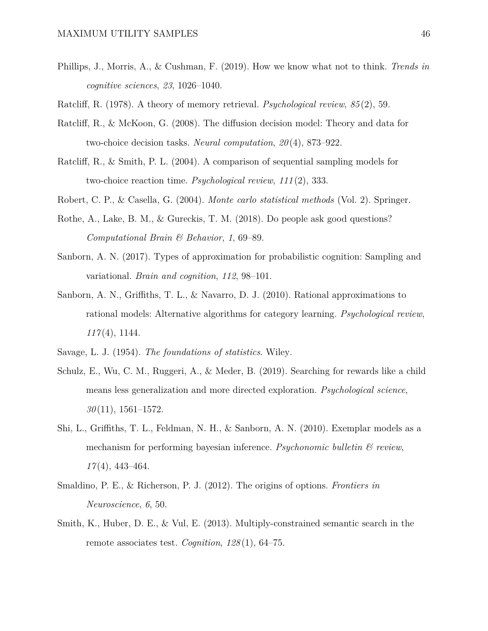- <span id="page-45-0"></span>Phillips, J., Morris, A., & Cushman, F. (2019). How we know what not to think. *Trends in cognitive sciences*, *23*, 1026–1040.
- <span id="page-45-12"></span><span id="page-45-4"></span>Ratcliff, R. (1978). A theory of memory retrieval. *Psychological review*, *85* (2), 59.
- Ratcliff, R., & McKoon, G. (2008). The diffusion decision model: Theory and data for two-choice decision tasks. *Neural computation*, *20* (4), 873–922.
- <span id="page-45-5"></span>Ratcliff, R., & Smith, P. L. (2004). A comparison of sequential sampling models for two-choice reaction time. *Psychological review*, *111* (2), 333.
- <span id="page-45-6"></span><span id="page-45-1"></span>Robert, C. P., & Casella, G. (2004). *Monte carlo statistical methods* (Vol. 2). Springer.
- Rothe, A., Lake, B. M., & Gureckis, T. M. (2018). Do people ask good questions? *Computational Brain & Behavior*, *1*, 69–89.
- <span id="page-45-3"></span>Sanborn, A. N. (2017). Types of approximation for probabilistic cognition: Sampling and variational. *Brain and cognition*, *112*, 98–101.
- <span id="page-45-7"></span>Sanborn, A. N., Griffiths, T. L., & Navarro, D. J. (2010). Rational approximations to rational models: Alternative algorithms for category learning. *Psychological review*, *117* (4), 1144.
- <span id="page-45-2"></span>Savage, L. J. (1954). *The foundations of statistics*. Wiley.
- <span id="page-45-10"></span>Schulz, E., Wu, C. M., Ruggeri, A., & Meder, B. (2019). Searching for rewards like a child means less generalization and more directed exploration. *Psychological science*, *30* (11), 1561–1572.
- <span id="page-45-8"></span>Shi, L., Griffiths, T. L., Feldman, N. H., & Sanborn, A. N. (2010). Exemplar models as a mechanism for performing bayesian inference. *Psychonomic bulletin & review*, *17* (4), 443–464.
- <span id="page-45-11"></span>Smaldino, P. E., & Richerson, P. J. (2012). The origins of options. *Frontiers in Neuroscience*, *6*, 50.
- <span id="page-45-9"></span>Smith, K., Huber, D. E., & Vul, E. (2013). Multiply-constrained semantic search in the remote associates test. *Cognition*, *128* (1), 64–75.